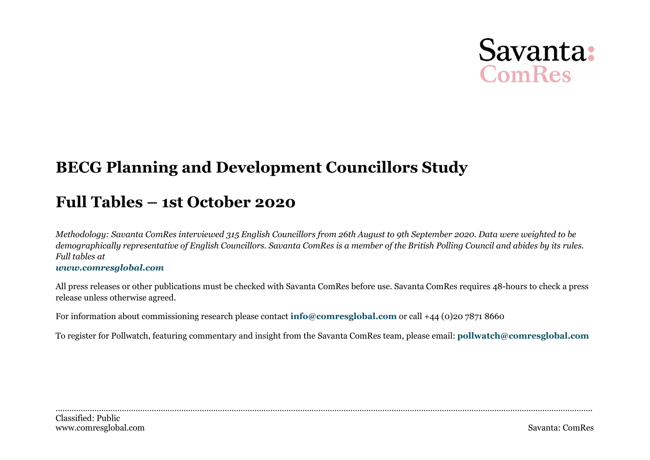# Savanta: ComRes

# **BECG Planning and Development Councillors Study**

# **Full Tables – 1st October 2020**

*Methodolog[y: Savanta ComRes interviewe](http://www.comresglobal.com/)d 315 English Councillors from 26th August to 9th September 2020. Data were weighted to be demographically representative of English Councillors. Savanta ComRes is a member of the British Polling Council and abides by its rules. Full tables at*

#### *www.comresglobal.com*

All press releases or other publications must be checked with Savanta ComRes before use. Savanta ComRe[s requires 48-hours to check a press](mailto:pollwatch@comresglobal.com) release unless otherwise agreed.

For information about commissioning research please contact **[info@comresglobal.com](mailto:info@comresglobal.com)** or call +44 (0)20 7871 8660

To register for Pollwatch, featuring commentary and insight from the Savanta ComRes team, please email: **pollwatch@comresglobal.com**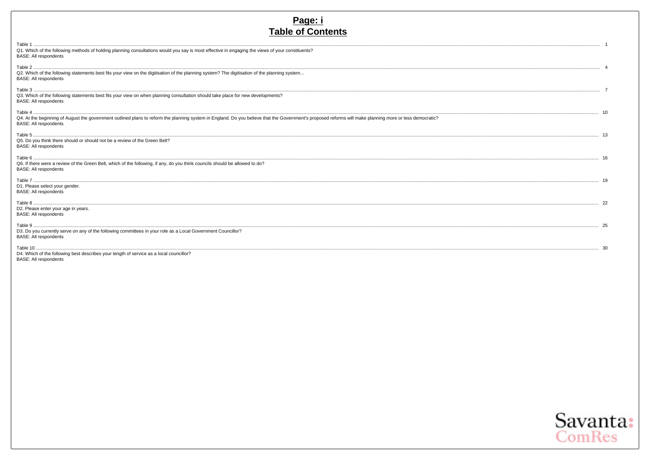# Page: i<br>Table of Contents

| Q1. Which of the following methods of holding planning consultations would you say is most effective in engaging the views of your constituents?<br><b>BASE: All respondents</b> |  |
|----------------------------------------------------------------------------------------------------------------------------------------------------------------------------------|--|
| Q2. Which of the following statements best fits your view on the digitisation of the planning system? The digitisation of the planning system<br><b>BASE: All respondents</b>    |  |
| Q3. Which of the following statements best fits your view on when planning consultation should take place for new developments?<br><b>BASE: All respondents</b>                  |  |
|                                                                                                                                                                                  |  |
| <b>BASE: All respondents</b>                                                                                                                                                     |  |
|                                                                                                                                                                                  |  |
| Q5. Do you think there should or should not be a review of the Green Belt?<br><b>BASE: All respondents</b>                                                                       |  |
|                                                                                                                                                                                  |  |
| Q6. If there were a review of the Green Belt, which of the following, if any, do you think councils should be allowed to do?<br><b>BASE: All respondents</b>                     |  |
|                                                                                                                                                                                  |  |
| D1. Please select your gender.                                                                                                                                                   |  |
| <b>BASE: All respondents</b>                                                                                                                                                     |  |
|                                                                                                                                                                                  |  |
| D2. Please enter your age in years.                                                                                                                                              |  |
| <b>BASE: All respondents</b>                                                                                                                                                     |  |
|                                                                                                                                                                                  |  |
| D3. Do you currently serve on any of the following committees in your role as a Local Government Councillor?<br><b>BASE: All respondents</b>                                     |  |
|                                                                                                                                                                                  |  |
| D4. Which of the following best describes your length of service as a local councillor?                                                                                          |  |
| <b>BASE: All respondents</b>                                                                                                                                                     |  |

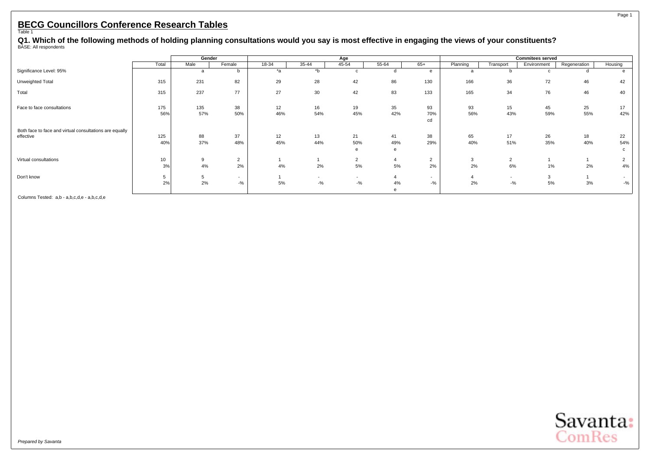<span id="page-2-0"></span>Q1. Which of the following methods of holding planning consultations would you say is most effective in engaging the views of your constituents?<br><sup>BASE: All respondents</sup>

|                                                         |       | Gender |                |       |                          | Age                      |       |                          |          |                          | <b>Commitees served</b> |              |         |
|---------------------------------------------------------|-------|--------|----------------|-------|--------------------------|--------------------------|-------|--------------------------|----------|--------------------------|-------------------------|--------------|---------|
|                                                         | Total | Male   | Female         | 18-34 | 35-44                    | 45-54                    | 55-64 | $65+$                    | Planning | Transport                | Environment             | Regeneration | Housing |
| Significance Level: 95%                                 |       | a      | <sub>n</sub>   | *a    | *b                       |                          |       | e                        | a        |                          |                         |              |         |
| Unweighted Total                                        | 315   | 231    | 82             | 29    | 28                       | 42                       | 86    | 130                      | 166      | 36                       | 72                      | 46           | 42      |
| Total                                                   | 315   | 237    | 77             | 27    | 30                       | 42                       | 83    | 133                      | 165      | 34                       | 76                      | 46           | 40      |
| Face to face consultations                              | 175   | 135    | 38             | 12    | 16                       | 19                       | 35    | 93                       | 93       | 15                       | 45                      | 25           | 17      |
|                                                         | 56%   | 57%    | 50%            | 46%   | 54%                      | 45%                      | 42%   | 70%<br>cd                | 56%      | 43%                      | 59%                     | 55%          | 42%     |
| Both face to face and virtual consultations are equally |       |        |                |       |                          |                          |       |                          |          |                          |                         |              |         |
| effective                                               | 125   | 88     | 37             | 12    | 13                       | 21                       | 41    | 38                       | 65       | 17                       | 26                      | 18           | 22      |
|                                                         | 40%   | 37%    | 48%            | 45%   | 44%                      | 50%                      | 49%   | 29%                      | 40%      | 51%                      | 35%                     | 40%          | 54%     |
|                                                         |       |        |                |       |                          | e                        |       |                          |          |                          |                         |              |         |
| Virtual consultations                                   | 10    | 9      | $\overline{2}$ |       |                          | 2                        | 4     | $\overline{2}$           | 3        | $\overline{2}$           |                         |              |         |
|                                                         | 3%    | 4%     | 2%             | 4%    | 2%                       | 5%                       | 5%    | 2%                       | 2%       | 6%                       | 1%                      | 2%           | 4%      |
| Don't know                                              | 5     | 5      | $\sim$         |       | $\overline{\phantom{a}}$ | $\overline{\phantom{a}}$ |       | $\overline{\phantom{a}}$ |          | $\overline{\phantom{a}}$ | 3                       |              | $\sim$  |
|                                                         | 2%    | 2%     | $-$ %          | 5%    | $-$ %                    | $-$ %                    | 4%    | $-$ %                    | 2%       | $-$ %                    | 5%                      | 3%           | $-$ %   |
|                                                         |       |        |                |       |                          |                          |       |                          |          |                          |                         |              |         |

Columns Tested: a,b - a,b,c,d,e - a,b,c,d,e

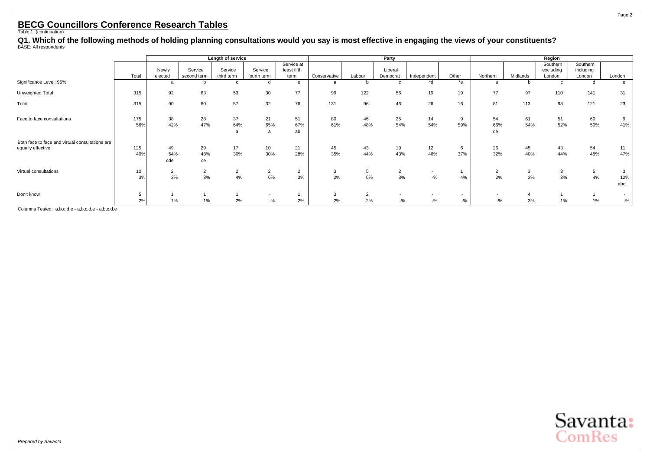Q1. Which of the following methods of holding planning consultations would you say is most effective in engaging the views of your constituents?<br><sup>BASE: All respondents</sup>

|                                                 |            |                      | Length of service      |                       |                                   |                                   |              |                      | Party                |                                   |                                   |                                    |           | Region                          |                                 |                 |
|-------------------------------------------------|------------|----------------------|------------------------|-----------------------|-----------------------------------|-----------------------------------|--------------|----------------------|----------------------|-----------------------------------|-----------------------------------|------------------------------------|-----------|---------------------------------|---------------------------------|-----------------|
|                                                 | Total      | Newly<br>elected     | Service<br>second term | Service<br>third term | Service<br>fourth term            | Service at<br>least fifth<br>term | Conservative | Labour               | Liberal<br>Democrat  | Independent                       | Other                             | Northern                           | Midlands  | Southern<br>excluding<br>London | Southern<br>including<br>London | London          |
| Significance Level: 95%                         |            | a                    |                        | $\mathbf{c}$          | d                                 | e                                 | a            |                      | c                    | *d                                | *e                                | a                                  |           | c                               | d                               | e               |
| Unweighted Total                                | 315        | 92                   | 63                     | 53                    | 30                                | 77                                | 99           | 122                  | 56                   | 19                                | 19                                | 77                                 | 97        | 110                             | 141                             | 31              |
| Total                                           | 315        | 90                   | 60                     | 57                    | 32                                | 76                                | 131          | 96                   | 46                   | 26                                | 16                                | 81                                 | 113       | 98                              | 121                             | 23              |
| Face to face consultations                      | 175<br>56% | 38<br>42%            | 28<br>47%              | 37<br>64%             | 21<br>65%<br>a                    | 51<br>67%<br>ab                   | 80<br>61%    | 46<br>48%            | 25<br>54%            | 14<br>54%                         | 9<br>59%                          | 54<br>66%<br>de                    | 61<br>54% | 51<br>52%                       | 60<br>50%                       | 9<br>41%        |
| Both face to face and virtual consultations are |            |                      |                        |                       |                                   |                                   |              |                      |                      |                                   |                                   |                                    |           |                                 |                                 |                 |
| equally effective                               | 125<br>40% | 49<br>54%<br>cde     | 29<br>48%<br>ce        | 17<br>30%             | 10<br>30%                         | 21<br>28%                         | 45<br>35%    | 43<br>44%            | 19<br>43%            | 12<br>46%                         | 6<br>37%                          | 26<br>32%                          | 45<br>40% | 43<br>44%                       | 54<br>45%                       | 11<br>47%       |
| Virtual consultations                           | 10<br>3%   | $\overline{2}$<br>3% | 2<br>3%                | 2<br>4%               | $\overline{2}$<br>6%              | $\overline{2}$<br>3%              | 3<br>2%      | 5<br>6%              | $\overline{2}$<br>3% | $\overline{\phantom{0}}$<br>$-$ % | 4%                                | $\overline{2}$<br>2%               | 3<br>3%   | 3<br>3%                         | 5<br>4%                         | 3<br>12%<br>abc |
| Don't know                                      | 5<br>2%    | 1%                   | 1%                     | 2%                    | $\overline{\phantom{a}}$<br>$-$ % | 2%                                | 3<br>2%      | $\overline{2}$<br>2% | $-$ %                | $-$ %                             | $\overline{\phantom{a}}$<br>$-$ % | $\overline{\phantom{a}}$<br>$-9/6$ | 3%        | 1%                              | 1%                              | $\sim$<br>$-$ % |

Columns Tested: a,b,c,d,e - a,b,c,d,e - a,b,c,d,e



Page 2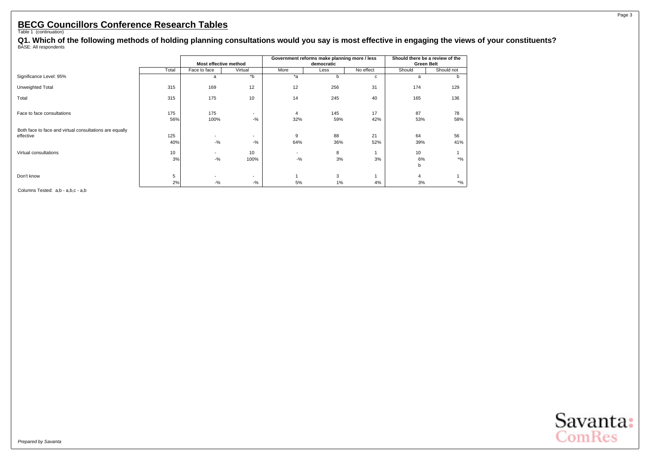Q1. Which of the following methods of holding planning consultations would you say is most effective in engaging the views of your constituents?<br><sup>BASE: All respondents</sup>

|                                                                      |            |                       |                                   |                       | Government reforms make planning more / less |           |                   | Should there be a review of the |
|----------------------------------------------------------------------|------------|-----------------------|-----------------------------------|-----------------------|----------------------------------------------|-----------|-------------------|---------------------------------|
|                                                                      |            | Most effective method |                                   |                       | democratic                                   |           | <b>Green Belt</b> |                                 |
|                                                                      | Total      | Face to face          | Virtual                           | More                  | Less                                         | No effect | Should            | Should not                      |
| Significance Level: 95%                                              |            | a                     | *b                                | $*_{a}$               | b                                            | C         | a                 | b.                              |
| Unweighted Total                                                     | 315        | 169                   | 12                                | 12                    | 256                                          | 31        | 174               | 129                             |
| Total                                                                | 315        | 175                   | 10                                | 14                    | 245                                          | 40        | 165               | 136                             |
| Face to face consultations                                           | 175<br>56% | 175<br>100%           | $\overline{\phantom{a}}$<br>$-$ % | $\overline{4}$<br>32% | 145<br>59%                                   | 17<br>42% | 87<br>53%         | 78<br>58%                       |
| Both face to face and virtual consultations are equally<br>effective | 125<br>40% | $-$ %                 | $\overline{\phantom{a}}$<br>$-$ % | 9<br>64%              | 88<br>36%                                    | 21<br>52% | 64<br>39%         | 56<br>41%                       |
| Virtual consultations                                                | 10<br>3%   | $-9/6$                | 10<br>100%                        | $-$ %                 | 8<br>3%                                      | 3%        | 10<br>6%<br>b     | $*$ %                           |
| Don't know                                                           | 5<br>2%    | $-9/6$                | $\overline{\phantom{a}}$<br>$-$ % | 5%                    | 3<br>1%                                      | 4%        | 4<br>3%           | $*$ %                           |

Columns Tested: a,b - a,b,c - a,b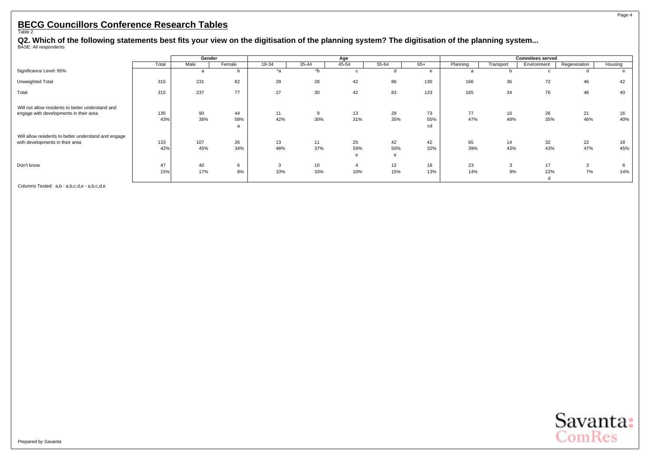#### Page 4

# <span id="page-5-0"></span>**BECG Councillors Conference Research Tables** Table 2

Q2. Which of the following statements best fits your view on the digitisation of the planning system? The digitisation of the planning system...<br><sup>BASE: All respondents</sup>

|                                                      |       |      | Gender       |                  |       | Age   |       |     |          |           | <b>Commitees served</b> |              |         |
|------------------------------------------------------|-------|------|--------------|------------------|-------|-------|-------|-----|----------|-----------|-------------------------|--------------|---------|
|                                                      | Total | Male | Female       | 18-34            | 35-44 | 45-54 | 55-64 | 65+ | Planning | Transport | Environment             | Regeneration | Housing |
| Significance Level: 95%                              |       | a    | <sub>n</sub> | $*_{\mathsf{a}}$ | $b^*$ |       |       | e   | a        |           |                         |              |         |
| Unweighted Total                                     | 315   | 231  | 82           | 29               | 28    | 42    | 86    | 130 | 166      | 36        | 72                      | 46           | 42      |
| Total                                                | 315   | 237  | 77           | 27               | 30    | 42    | 83    | 133 | 165      | 34        | 76                      | 46           | 40      |
| Will not allow residents to better understand and    |       |      |              |                  |       |       |       |     |          |           |                         |              |         |
| engage with developments in their area               | 135   | 90   | 44           | 11               | 9     | 13    | 29    | 73  | 77       | 16        | 26                      | 21           | 16      |
|                                                      | 43%   | 38%  | 58%          | 42%              | 30%   | 31%   | 35%   | 55% | 47%      | 48%       | 35%                     | 46%          | 40%     |
|                                                      |       |      |              |                  |       |       |       | cd  |          |           |                         |              |         |
| Will allow residents to better understand and engage |       |      |              |                  |       |       |       |     |          |           |                         |              |         |
| with developments in their area                      | 133   | 107  | 26           | 13               | 11    | 25    | 42    | 42  | 65       | 14        | 32                      | 22           | 18      |
|                                                      | 42%   | 45%  | 34%          | 48%              | 37%   | 59%   | 50%   | 32% | 39%      | 43%       | 43%                     | 47%          | 45%     |
|                                                      |       |      |              |                  |       |       |       |     |          |           |                         |              |         |
| Don't know                                           | 47    | 40   | 6            | <b>ن</b>         | 10    |       | 12    | 18  | 23       | 3         | 17                      | 3            | 6       |
|                                                      | 15%   | 17%  | 8%           | 10%              | 33%   | 10%   | 15%   | 13% | 14%      | 9%        | 22%                     | 7%           | 14%     |
|                                                      |       |      |              |                  |       |       |       |     |          |           | d                       |              |         |

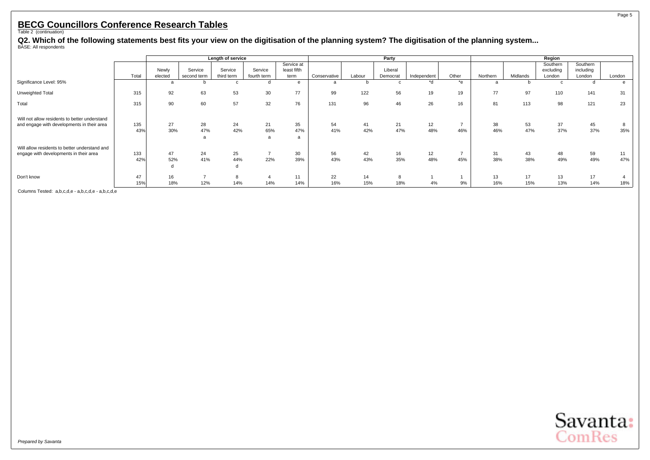Q2. Which of the following statements best fits your view on the digitisation of the planning system? The digitisation of the planning system...<br><sup>BASE: All respondents</sup>

|                                                                                             |       | Length of service |                        |                       |                        |                                   |              |        | Party               |             |                |          |          | Region                          |                                 |                |
|---------------------------------------------------------------------------------------------|-------|-------------------|------------------------|-----------------------|------------------------|-----------------------------------|--------------|--------|---------------------|-------------|----------------|----------|----------|---------------------------------|---------------------------------|----------------|
|                                                                                             | Total | Newly<br>elected  | Service<br>second term | Service<br>third term | Service<br>fourth term | Service at<br>least fifth<br>term | Conservative | Labour | Liberal<br>Democrat | Independent | Other          | Northern | Midlands | Southern<br>excluding<br>London | Southern<br>including<br>London | London         |
| Significance Level: 95%                                                                     |       | a                 |                        | c                     | d                      | e                                 | a            | b      | c                   | *d          | $*$ e          | a        | Ð        | c                               |                                 | e              |
| Unweighted Total                                                                            | 315   | 92                | 63                     | 53                    | 30                     | 77                                | 99           | 122    | 56                  | 19          | 19             | 77       | 97       | 110                             | 141                             | 31             |
| Total                                                                                       | 315   | 90                | 60                     | 57                    | 32                     | 76                                | 131          | 96     | 46                  | 26          | 16             | 81       | 113      | 98                              | 121                             | 23             |
| Will not allow residents to better understand<br>and engage with developments in their area | 135   | 27                | 28                     | 24                    | 21                     | 35                                | 54           | 41     | 21                  | 12          | $\overline{ }$ | 38       | 53       | 37                              | 45                              | 8              |
|                                                                                             | 43%   | 30%               | 47%                    | 42%                   | 65%<br>a               | 47%<br>a                          | 41%          | 42%    | 47%                 | 48%         | 46%            | 46%      | 47%      | 37%                             | 37%                             | 35%            |
| Will allow residents to better understand and                                               |       |                   |                        |                       |                        |                                   |              |        |                     |             |                |          |          |                                 |                                 |                |
| engage with developments in their area                                                      | 133   | 47                | 24                     | 25                    |                        | 30                                | 56           | 42     | 16                  | 12          | $\overline{ }$ | 31       | 43       | 48                              | 59                              | 11             |
|                                                                                             | 42%   | 52%               | 41%                    | 44%                   | 22%                    | 39%                               | 43%          | 43%    | 35%                 | 48%         | 45%            | 38%      | 38%      | 49%                             | 49%                             | 47%            |
|                                                                                             |       | d                 |                        |                       |                        |                                   |              |        |                     |             |                |          |          |                                 |                                 |                |
| Don't know                                                                                  | 47    | 16                |                        |                       |                        | 11                                | 22           | 14     |                     |             |                | 13       | 17       | 13                              | 17                              | $\overline{4}$ |
|                                                                                             | 15%   | 18%               | 12%                    | 14%                   | 14%                    | 14%                               | 16%          | 15%    | 18%                 | 4%          | 9%             | 16%      | 15%      | 13%                             | 14%                             | 18%            |

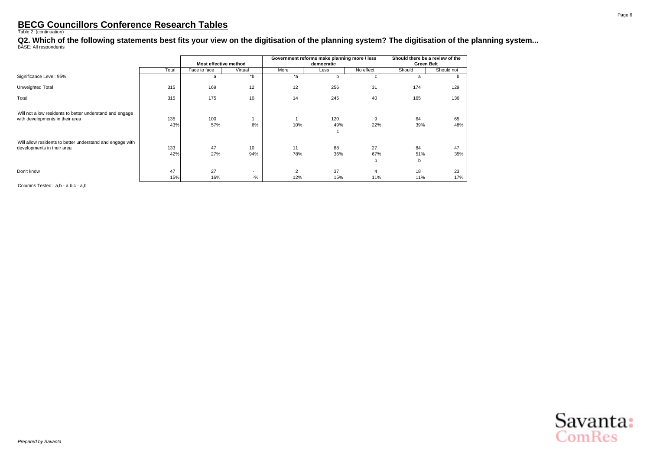Q2. Which of the following statements best fits your view on the digitisation of the planning system? The digitisation of the planning system...<br><sup>BASE: All respondents</sup>

|                                                                                             |            |                       |                                   |                       | Government reforms make planning more / less |                       | Should there be a review of the |            |
|---------------------------------------------------------------------------------------------|------------|-----------------------|-----------------------------------|-----------------------|----------------------------------------------|-----------------------|---------------------------------|------------|
|                                                                                             |            | Most effective method |                                   |                       | democratic                                   |                       | <b>Green Belt</b>               |            |
|                                                                                             | Total      | Face to face          | Virtual                           | More                  | Less                                         | No effect             | Should                          | Should not |
| Significance Level: 95%                                                                     |            | a                     | $b^*$                             | *a                    | b                                            | c                     | a                               | b.         |
| Unweighted Total                                                                            | 315        | 169                   | 12                                | 12                    | 256                                          | 31                    | 174                             | 129        |
| Total                                                                                       | 315        | 175                   | 10                                | 14                    | 245                                          | 40                    | 165                             | 136        |
| Will not allow residents to better understand and engage<br>with developments in their area | 135<br>43% | 100<br>57%            | 6%                                | 10%                   | 120<br>49%<br>с                              | 9<br>22%              | 64<br>39%                       | 65<br>48%  |
| Will allow residents to better understand and engage with<br>developments in their area     | 133<br>42% | 47<br>27%             | 10<br>94%                         | 11<br>78%             | 88<br>36%                                    | 27<br>67%<br>b        | 84<br>51%<br>b                  | 47<br>35%  |
| Don't know                                                                                  | 47<br>15%  | 27<br>16%             | $\overline{\phantom{a}}$<br>$-$ % | $\overline{2}$<br>12% | 37<br>15%                                    | $\overline{a}$<br>11% | 18<br>11%                       | 23<br>17%  |

Columns Tested: a,b - a,b,c - a,b

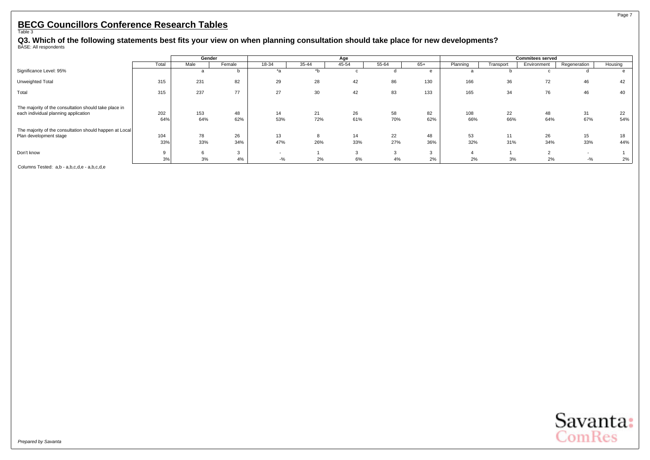#### Page 7

### <span id="page-8-0"></span>**BECG Councillors Conference Research Tables** Table 3

Q3. Which of the following statements best fits your view on when planning consultation should take place for new developments?<br><sup>BASE: All respondents</sup>

|                                                         |       | Gender |        |       |       | Age   |       |     |          |           | <b>Commitees served</b> |              |         |
|---------------------------------------------------------|-------|--------|--------|-------|-------|-------|-------|-----|----------|-----------|-------------------------|--------------|---------|
|                                                         | Total | Male   | Female | 18-34 | 35-44 | 45-54 | 55-64 | 65+ | Planning | Transport | Environment             | Regeneration | Housing |
| Significance Level: 95%                                 |       |        | D      | *a    | *b    |       |       | e   | a        |           |                         |              |         |
| Unweighted Total                                        | 315   | 231    | 82     | 29    | 28    | 42    | 86    | 130 | 166      | 36        | 72                      | 46           | 42      |
| Total                                                   | 315   | 237    | 77     | 27    | 30    | 42    | 83    | 133 | 165      | 34        | 76                      | 46           | 40      |
| The majority of the consultation should take place in   |       |        |        |       |       |       |       |     |          |           |                         |              |         |
| each individual planning application                    | 202   | 153    | 48     | 14    | 21    | 26    | 58    | 82  | 108      | 22        | 48                      | 31           | 22      |
|                                                         | 64%   | 64%    | 62%    | 53%   | 72%   | 61%   | 70%   | 62% | 66%      | 66%       | 64%                     | 67%          | 54%     |
| The majority of the consultation should happen at Local |       |        |        |       |       |       |       |     |          |           |                         |              |         |
| Plan development stage                                  | 104   | 78     | 26     | 13    | 8     | 14    | 22    | 48  | 53       | 11        | 26                      | 15           | 18      |
|                                                         | 33%   | 33%    | 34%    | 47%   | 26%   | 33%   | 27%   | 36% | 32%      | 31%       | 34%                     | 33%          | 44%     |
| Don't know                                              |       | $\sim$ | $\sim$ |       |       |       |       | 3   |          |           |                         |              |         |
|                                                         | 3%    | 3%     | 4%     | $-$ % | 2%    | 6%    | 4%    | 2%  | 2%       | 3%        | 2%                      | $-9/6$       | 2%      |

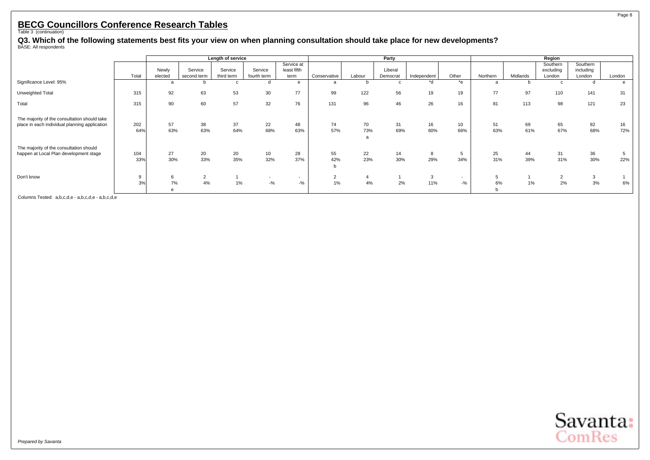Q3. Which of the following statements best fits your view on when planning consultation should take place for new developments?<br><sup>BASE: All respondents</sup>

|                                                                                               |            |                  |                        | Length of service     |                        |                                   |                      |           | Party               |             |                  |           |           | Region                          |                                 |           |
|-----------------------------------------------------------------------------------------------|------------|------------------|------------------------|-----------------------|------------------------|-----------------------------------|----------------------|-----------|---------------------|-------------|------------------|-----------|-----------|---------------------------------|---------------------------------|-----------|
|                                                                                               | Total      | Newly<br>elected | Service<br>second term | Service<br>third term | Service<br>fourth term | Service at<br>least fifth<br>term | Conservative         | Labour    | Liberal<br>Democrat | Independent | Other            | Northern  | Midlands  | Southern<br>excluding<br>London | Southern<br>including<br>London | London    |
| Significance Level: 95%                                                                       |            |                  |                        |                       |                        | $\epsilon$                        | a                    |           | c                   | $h^*$       | *e               | a         |           | $\mathbf{c}$                    | d                               |           |
| Unweighted Total                                                                              | 315        | 92               | 63                     | 53                    | 30                     | 77                                | 99                   | 122       | 56                  | 19          | 19               | 77        | 97        | 110                             | 141                             | 31        |
| Total                                                                                         | 315        | 90               | 60                     | 57                    | 32                     | 76                                | 131                  | 96        | 46                  | 26          | 16               | 81        | 113       | 98                              | 121                             | 23        |
| The majority of the consultation should take<br>place in each individual planning application | 202<br>64% | 57<br>63%        | 38<br>63%              | 37<br>64%             | 22<br>68%              | 48<br>63%                         | 74<br>57%            | 70<br>73% | 31<br>69%           | 16<br>60%   | 10<br>66%        | 51<br>63% | 69<br>61% | 65<br>67%                       | 82<br>68%                       | 16<br>72% |
| The majority of the consultation should<br>happen at Local Plan development stage             | 104<br>33% | 27<br>30%        | 20<br>33%              | 20<br>35%             | 10<br>32%              | 28<br>37%                         | 55<br>42%<br>h       | 22<br>23% | 14<br>30%           | 8<br>29%    | 5<br>34%         | 25<br>31% | 44<br>39% | 31<br>31%                       | 36<br>30%                       | 22%       |
| Don't know                                                                                    | 9<br>3%    | 7%               | $\sim$<br>ے<br>4%      | $1\%$                 | $\sim$<br>$-$ %        | $\sim$<br>$-9/6$                  | $\overline{2}$<br>1% | 4%        | 2%                  | 3<br>11%    | $\sim$<br>$-9/0$ | 5<br>6%   | 1%        | $\overline{2}$<br>2%            | 3<br>3%                         | 6%        |

Columns Tested: a,b,c,d,e - a,b,c,d,e - a,b,c,d,e

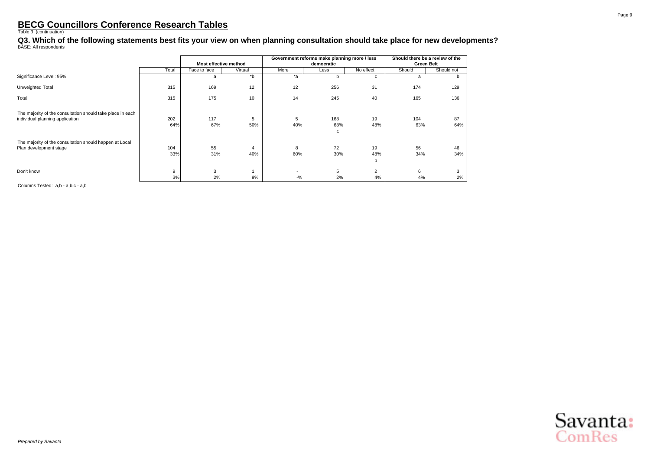Q3. Which of the following statements best fits your view on when planning consultation should take place for new developments?<br><sup>BASE: All respondents</sup>

|                                                                                               |            |                       |          |          | Government reforms make planning more / less |                      |                   | Should there be a review of the |
|-----------------------------------------------------------------------------------------------|------------|-----------------------|----------|----------|----------------------------------------------|----------------------|-------------------|---------------------------------|
|                                                                                               |            | Most effective method |          |          | democratic                                   |                      | <b>Green Belt</b> |                                 |
|                                                                                               | Total      | Face to face          | Virtual  | More     | Less                                         | No effect            | Should            | Should not                      |
| Significance Level: 95%                                                                       |            | a                     | *b       | $*_{a}$  | n                                            | c                    | a                 | n                               |
| Unweighted Total                                                                              | 315        | 169                   | 12       | 12       | 256                                          | 31                   | 174               | 129                             |
| Total                                                                                         | 315        | 175                   | 10       | 14       | 245                                          | 40                   | 165               | 136                             |
| The majority of the consultation should take place in each<br>individual planning application | 202<br>64% | 117<br>67%            | 5<br>50% | 5<br>40% | 168<br>68%<br>с                              | 19<br>48%            | 104<br>63%        | 87<br>64%                       |
| The majority of the consultation should happen at Local<br>Plan development stage             | 104<br>33% | 55<br>31%             | 4<br>40% | 8<br>60% | 72<br>30%                                    | 19<br>48%<br>b       | 56<br>34%         | 46<br>34%                       |
| Don't know                                                                                    | 9<br>3%    | 3<br>2%               | 9%       | $-$ %    | 5<br>2%                                      | $\overline{2}$<br>4% | 6<br>4%           | 3<br>2%                         |

Columns Tested: a,b - a,b,c - a,b

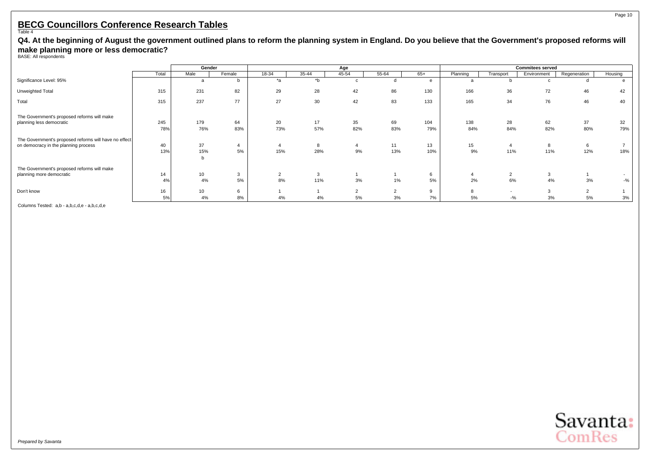<span id="page-11-0"></span>**Q4. At the beginning of August the government outlined plans to reform the planning system in England. Do you believe that the Government's proposed reforms will make planning more or less democratic?** BASE: All respondents

|                                                       |       | Gender |        |       |       | Age    |                      |       |          |           | <b>Commitees served</b> |              |         |
|-------------------------------------------------------|-------|--------|--------|-------|-------|--------|----------------------|-------|----------|-----------|-------------------------|--------------|---------|
|                                                       | Total | Male   | Female | 18-34 | 35-44 | 45-54  | 55-64                | $65+$ | Planning | Transport | Environment             | Regeneration | Housing |
| Significance Level: 95%                               |       | a      | b      | *a    | $b^*$ |        |                      | e     |          |           |                         |              |         |
| Unweighted Total                                      | 315   | 231    | 82     | 29    | 28    | 42     | 86                   | 130   | 166      | 36        | 72                      | 46           | 42      |
| Total                                                 | 315   | 237    | 77     | 27    | 30    | 42     | 83                   | 133   | 165      | 34        | 76                      | 46           | 40      |
| The Government's proposed reforms will make           |       |        |        |       |       |        |                      |       |          |           |                         |              |         |
| planning less democratic                              | 245   | 179    | 64     | 20    | 17    | 35     | 69                   | 104   | 138      | 28        | 62                      | 37           | 32      |
|                                                       | 78%   | 76%    | 83%    | 73%   | 57%   | 82%    | 83%                  | 79%   | 84%      | 84%       | 82%                     | 80%          | 79%     |
| The Government's proposed reforms will have no effect |       |        |        |       |       |        |                      |       |          |           |                         |              |         |
| on democracy in the planning process                  | 40    | 37     |        |       | 8     |        | 11                   | 13    | 15       |           | 8                       | 6            |         |
|                                                       | 13%   | 15%    | 5%     | 15%   | 28%   | 9%     | 13%                  | 10%   | 9%       | 11%       | 11%                     | 12%          | 18%     |
|                                                       |       |        |        |       |       |        |                      |       |          |           |                         |              |         |
| The Government's proposed reforms will make           |       |        |        |       |       |        |                      |       |          |           |                         |              |         |
| planning more democratic                              | 14    | 10     | 3      | 2     | 3     |        |                      | 6     |          | $\sim$    | 3                       |              |         |
|                                                       | 4%    | 4%     | 5%     | 8%    | 11%   | 3%     | 1%                   | 5%    | 2%       | 6%        | 4%                      | 3%           | $-$ %   |
| Don't know                                            | 16    | 10     | 6      |       |       | $\sim$ | $\sim$<br>$\epsilon$ | 9     |          |           | $\mathcal{R}$           | $\sim$       |         |
|                                                       | 5%    | 4%     | 8%     | 4%    | 4%    | 5%     | 3%                   | 7%    | 5%       | $-$ %     | 3%                      | 5%           | 3%      |

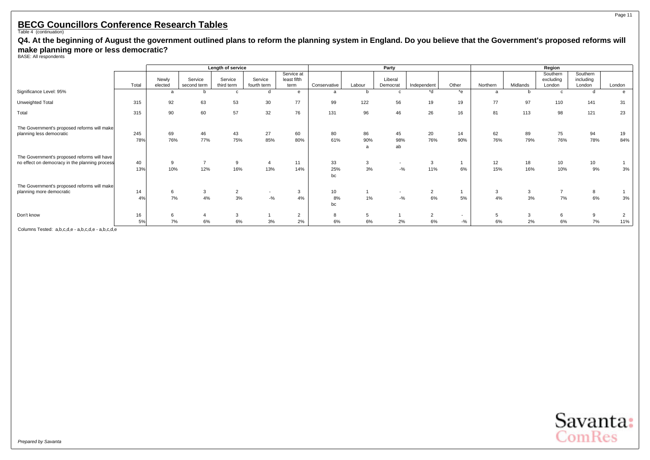**Q4. At the beginning of August the government outlined plans to reform the planning system in England. Do you believe that the Government's proposed reforms will make planning more or less democratic?** BASE: All respondents

|                                                                                               | Length of service |           |                       |                      |             |                |                 |                             | Party           |                      |                          |           |           | Region               |           |           |
|-----------------------------------------------------------------------------------------------|-------------------|-----------|-----------------------|----------------------|-------------|----------------|-----------------|-----------------------------|-----------------|----------------------|--------------------------|-----------|-----------|----------------------|-----------|-----------|
|                                                                                               |                   |           |                       |                      |             | Service at     |                 |                             |                 |                      |                          |           |           | Southern             | Southern  |           |
|                                                                                               |                   | Newly     | Service               | Service              | Service     | least fifth    |                 |                             | Liberal         |                      |                          |           |           | excluding            | including |           |
|                                                                                               | Total             | elected   | second term           | third term           | fourth term | term           | Conservative    | Labour                      | Democrat        | Independent          | Other                    | Northern  | Midlands  | London               | London    | London    |
| Significance Level: 95%                                                                       |                   |           |                       |                      |             | e              | a               |                             | C               | *d                   | *e                       | a         |           | C                    | d         |           |
| Unweighted Total                                                                              | 315               | 92        | 63                    | 53                   | 30          | 77             | 99              | 122                         | 56              | 19                   | 19                       | 77        | 97        | 110                  | 141       | 31        |
| Total                                                                                         | 315               | 90        | 60                    | 57                   | 32          | 76             | 131             | 96                          | 46              | 26                   | 16                       | 81        | 113       | 98                   | 121       | 23        |
| The Government's proposed reforms will make<br>planning less democratic                       | 245<br>78%        | 69<br>76% | 46<br>77%             | 43<br>75%            | 27<br>85%   | 60<br>80%      | 80<br>61%       | 86<br>90%<br>$\overline{a}$ | 45<br>98%<br>ab | 20<br>76%            | 14<br>90%                | 62<br>76% | 89<br>79% | 75<br>76%            | 94<br>78% | 19<br>84% |
| The Government's proposed reforms will have<br>no effect on democracy in the planning process | 40<br>13%         | 10%       | $\overline{ }$<br>12% | 9<br>16%             | 13%         | 11<br>14%      | 33<br>25%<br>bc | 3<br>3%                     | $-9/6$          | 3<br>11%             | 6%                       | 12<br>15% | 18<br>16% | 10<br>10%            | 10<br>9%  | 3%        |
| The Government's proposed reforms will make                                                   |                   |           |                       |                      |             |                |                 |                             |                 |                      |                          |           |           |                      |           |           |
| planning more democratic                                                                      | 14<br>4%          | 6<br>7%   | 3<br>4%               | $\overline{2}$<br>3% | ۰<br>$-9/6$ | 3<br>4%        | 10<br>8%        | 1%                          | $-9/6$          | $\overline{2}$<br>6% | 5%                       | 3<br>4%   | 3<br>3%   | $\overline{7}$<br>7% | 8<br>6%   | 3%        |
|                                                                                               |                   |           |                       |                      |             |                | bc              |                             |                 |                      |                          |           |           |                      |           |           |
| Don't know                                                                                    | 16                |           |                       |                      |             | $\overline{2}$ | 8               | 5                           |                 | $\overline{2}$       | $\overline{\phantom{a}}$ | 5         | 3         | 6                    | 9         | 2         |
|                                                                                               | 5%                | 7%        | 6%                    | 6%                   | 3%          | 2%             | 6%              | 6%                          | 2%              | 6%                   | $-$ %                    | 6%        | 2%        | 6%                   | 7%        | 11%       |

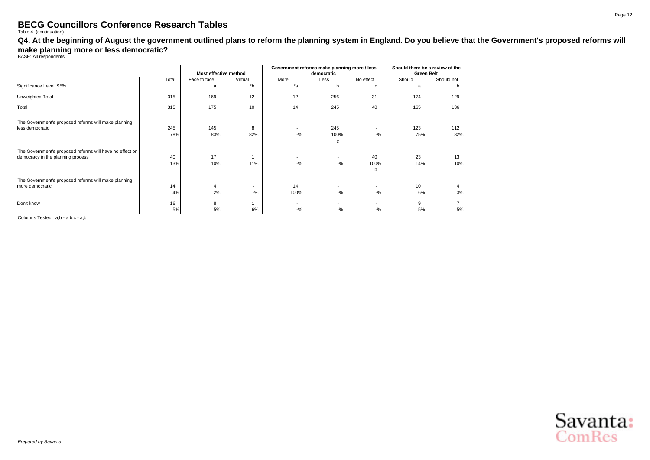**Q4. At the beginning of August the government outlined plans to reform the planning system in England. Do you believe that the Government's proposed reforms will make planning more or less democratic?** BASE: All respondents

|                                                                                               |            | Most effective method |                                    |                                    | Government reforms make planning more / less<br>democratic |                                   | Should there be a review of the<br><b>Green Belt</b> |            |
|-----------------------------------------------------------------------------------------------|------------|-----------------------|------------------------------------|------------------------------------|------------------------------------------------------------|-----------------------------------|------------------------------------------------------|------------|
|                                                                                               | Total      | Face to face          | Virtual                            | More                               | Less                                                       | No effect                         | Should                                               | Should not |
| Significance Level: 95%                                                                       |            | a                     | *b                                 | $*_{a}$                            | b.                                                         | c                                 | a                                                    | b.         |
| Unweighted Total                                                                              | 315        | 169                   | 12                                 | 12                                 | 256                                                        | 31                                | 174                                                  | 129        |
| Total                                                                                         | 315        | 175                   | 10                                 | 14                                 | 245                                                        | 40                                | 165                                                  | 136        |
| The Government's proposed reforms will make planning<br>less democratic                       | 245<br>78% | 145<br>83%            | 8<br>82%                           | $\overline{\phantom{a}}$<br>$-9/6$ | 245<br>100%<br>c                                           | ٠<br>$-$ %                        | 123<br>75%                                           | 112<br>82% |
| The Government's proposed reforms will have no effect on<br>democracy in the planning process | 40<br>13%  | 17<br>10%             | 11%                                | $\overline{\phantom{a}}$<br>$-9/6$ | ٠<br>$-$ %                                                 | 40<br>100%<br>b                   | 23<br>14%                                            | 13<br>10%  |
| The Government's proposed reforms will make planning<br>more democratic                       | 14<br>4%   | 4<br>2%               | $\overline{\phantom{a}}$<br>$-9/6$ | 14<br>100%                         | ٠<br>$-$ %                                                 | ٠<br>$-$ %                        | 10<br>6%                                             | 3%         |
| Don't know                                                                                    | 16<br>5%   | 8<br>5%               | 6%                                 | ٠<br>$-9/6$                        | $-$ %                                                      | $\overline{\phantom{a}}$<br>$-$ % | 9<br>5%                                              | 5%         |

Columns Tested: a,b - a,b,c - a,b

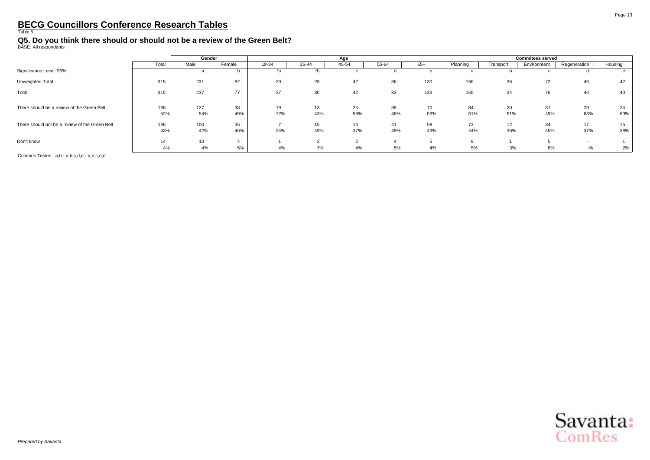#### <span id="page-14-0"></span>**Q5. Do you think there should or should not be a review of the Green Belt?** BASE: All respondents

|                                                |       | Gender |        |       |       | Age   |       |       |          |           | <b>Commitees served</b> |              |         |
|------------------------------------------------|-------|--------|--------|-------|-------|-------|-------|-------|----------|-----------|-------------------------|--------------|---------|
|                                                | Total | Male   | Female | 18-34 | 35-44 | 45-54 | 55-64 | $65+$ | Planning | Transport | Environment             | Regeneration | Housing |
| Significance Level: 95%                        |       |        |        | *а    |       |       |       | e     | ы        |           |                         |              |         |
| Unweighted Total                               | 315   | 231    | 82     | 29    | 28    | 42    | 86    | 130   | 166      | 36        | 72                      | 46           |         |
| Total                                          | 315   | 237    | 77     | 27    | 30    | 42    | 83    | 133   | 165      | 34        | 76                      | 46           | 40      |
| There should be a review of the Green Belt     | 165   | 127    | 38     | 19    | 13    | 25    | 38    | 70    | 84       | 20        | 37                      | 29           | 24      |
|                                                | 52%   | 54%    | 49%    | 72%   | 43%   | 59%   | 46%   | 53%   | 51%      | 61%       | 49%                     | 63%          | 60%     |
| There should not be a review of the Green Belt | 136   | 100    | 35     |       | 15    | 16    | 41    | 58    | 73       | 12        | 34                      | 17           | 15      |
|                                                | 43%   | 42%    | 46%    | 24%   | 49%   | 37%   | 49%   | 43%   | 44%      | 36%       | 45%                     | 37%          | 38%     |
| Don't know                                     | 14    | 10     |        |       |       |       |       | Ð     |          |           |                         |              |         |
|                                                | 4%    | 4%     | 5%     | 4%    | 7%    | 4%    | 5%    | 4%    | 5%       | 3%        | 6%                      | $-$ %        | 2%      |

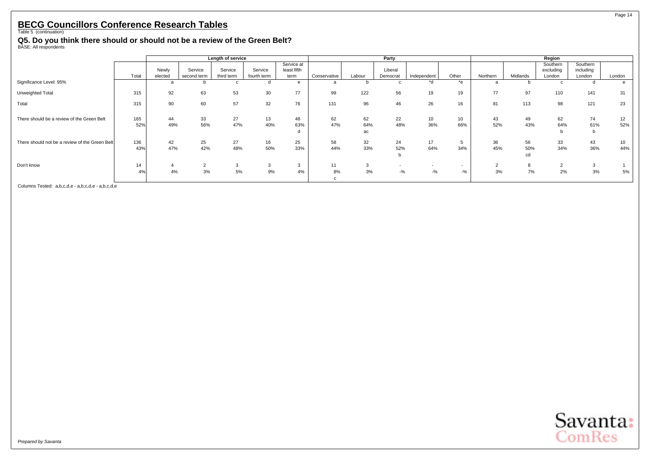**Q5. Do you think there should or should not be a review of the Green Belt?** BASE: All respondents

|                                                |            |           |                   | Length of service |             |                           |              |                 | Party       |                        |                  |                      |                 | Region                |                       |           |
|------------------------------------------------|------------|-----------|-------------------|-------------------|-------------|---------------------------|--------------|-----------------|-------------|------------------------|------------------|----------------------|-----------------|-----------------------|-----------------------|-----------|
|                                                |            | Newly     | Service           | Service           | Service     | Service at<br>least fifth |              |                 | Liberal     |                        |                  |                      |                 | Southern<br>excluding | Southern<br>including |           |
|                                                | Total      | elected   | second term       | third term        | fourth term | term                      | Conservative | Labour          | Democrat    | Independent            | Other            | Northern             | Midlands        | London                | London                | London    |
| Significance Level: 95%                        |            |           |                   |                   |             | e                         | a            |                 | $\mathbf c$ | $\overline{d}$         | $*_{e}$          | a                    |                 | $\mathbf{C}$          | d                     |           |
| Unweighted Total                               | 315        | 92        | 63                | 53                | 30          | 77                        | 99           | 122             | 56          | 19                     | 19               | 77                   | 97              | 110                   | 141                   | 31        |
| Total                                          | 315        | 90        | 60                | 57                | 32          | 76                        | 131          | 96              | 46          | 26                     | 16               | 81                   | 113             | 98                    | 121                   | 23        |
| There should be a review of the Green Belt     | 165<br>52% | 44<br>49% | 33<br>56%         | 27<br>47%         | 13<br>40%   | 48<br>63%<br>d            | 62<br>47%    | 62<br>64%<br>ac | 22<br>48%   | 10 <sup>1</sup><br>36% | 10<br>66%        | 43<br>52%            | 49<br>43%       | 62<br>64%<br>b        | 74<br>61%<br>b        | 12<br>52% |
| There should not be a review of the Green Belt | 136<br>43% | 42<br>47% | 25<br>42%         | 27<br>48%         | 16<br>50%   | 25<br>33%                 | 58<br>44%    | 32<br>33%       | 24<br>52%   | 17<br>64%              | 5<br>34%         | 36<br>45%            | 56<br>50%<br>cd | 33<br>34%             | 43<br>36%             | 10<br>44% |
| Don't know                                     | 14<br>4%   | 4%        | $\sim$<br>∠<br>3% | 3<br>5%           | 3<br>9%     | 3<br>4%                   | 11<br>8%     | 3<br>3%         | $-$ %       | $-9/6$                 | $\sim$<br>$-9/0$ | $\overline{2}$<br>3% | 8<br>7%         | $\overline{2}$<br>2%  | 3<br>3%               | 5%        |

Columns Tested: a,b,c,d,e - a,b,c,d,e - a,b,c,d,e



Page 14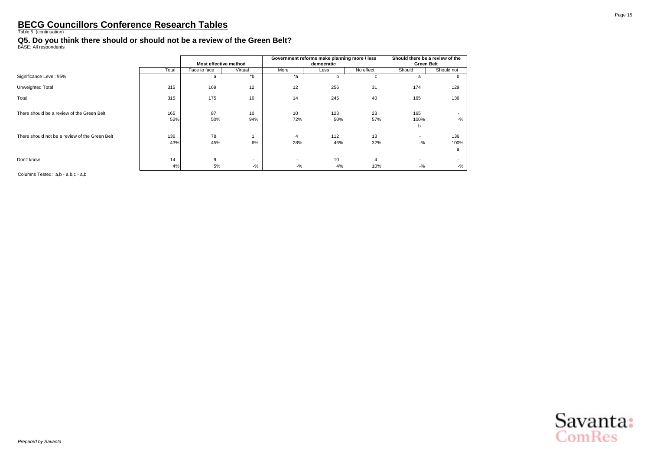#### **Q5. Do you think there should or should not be a review of the Green Belt?** BASE: All respondents

|                                                |       | Most effective method |                          |                          | Government reforms make planning more / less<br>democratic |                | Should there be a review of the<br><b>Green Belt</b> |                          |
|------------------------------------------------|-------|-----------------------|--------------------------|--------------------------|------------------------------------------------------------|----------------|------------------------------------------------------|--------------------------|
|                                                | Total | Face to face          | Virtual                  | More                     | Less                                                       | No effect      | Should                                               | Should not               |
| Significance Level: 95%                        |       | a                     | $b^*$                    | $*_{a}$                  | b.                                                         | C              | a                                                    | n                        |
| Unweighted Total                               | 315   | 169                   | 12                       | 12                       | 256                                                        | 31             | 174                                                  | 129                      |
| Total                                          | 315   | 175                   | 10                       | 14                       | 245                                                        | 40             | 165                                                  | 136                      |
| There should be a review of the Green Belt     | 165   | 87                    | 10                       | 10                       | 123                                                        | 23             | 165                                                  | $\overline{\phantom{0}}$ |
|                                                | 52%   | 50%                   | 94%                      | 72%                      | 50%                                                        | 57%            | 100%<br>b                                            | $-$ %                    |
| There should not be a review of the Green Belt | 136   | 78                    |                          | $\overline{4}$           | 112                                                        | 13             | $\overline{\phantom{a}}$                             | 136                      |
|                                                | 43%   | 45%                   | 6%                       | 28%                      | 46%                                                        | 32%            | $-$ %                                                | 100%                     |
|                                                |       |                       |                          |                          |                                                            |                |                                                      | a                        |
| Don't know                                     | 14    | 9                     | $\overline{\phantom{a}}$ | $\overline{\phantom{a}}$ | 10                                                         | $\overline{4}$ | $\overline{\phantom{0}}$                             | $\overline{\phantom{a}}$ |
|                                                | 4%    | 5%                    | $-$ %                    | $-$ %                    | 4%                                                         | 10%            | $-9/6$                                               | $-$ %                    |

Columns Tested: a,b - a,b,c - a,b

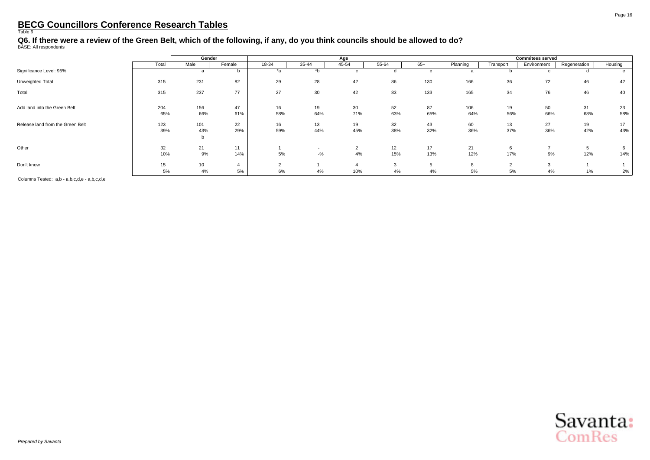#### Page 16

#### <span id="page-17-0"></span>**BECG Councillors Conference Research Tables** Table 6

**Q6. If there were a review of the Green Belt, which of the following, if any, do you think councils should be allowed to do?** BASE: All respondents

|                                  |       | Gender          |        |       |        | Age   |       |       |          |           | <b>Commitees served</b> |              |         |
|----------------------------------|-------|-----------------|--------|-------|--------|-------|-------|-------|----------|-----------|-------------------------|--------------|---------|
|                                  | Total | Male            | Female | 18-34 | 35-44  | 45-54 | 55-64 | $65+$ | Planning | Transport | Environment             | Regeneration | Housing |
| Significance Level: 95%          |       | a               | n      | *a    | *b     | c     |       | e     | a        |           | c                       |              | e       |
| Unweighted Total                 | 315   | 231             | 82     | 29    | 28     | 42    | 86    | 130   | 166      | 36        | 72                      | 46           | 42      |
| Total                            | 315   | 237             | 77     | 27    | 30     | 42    | 83    | 133   | 165      | 34        | 76                      | 46           | 40      |
| Add land into the Green Belt     | 204   | 156             | 47     | 16    | 19     | 30    | 52    | 87    | 106      | 19        | 50                      | 31           | 23      |
|                                  | 65%   | 66%             | 61%    | 58%   | 64%    | 71%   | 63%   | 65%   | 64%      | 56%       | 66%                     | 68%          | 58%     |
| Release land from the Green Belt | 123   | 101             | 22     | 16    | 13     | 19    | 32    | 43    | 60       | 13        | 27                      | 19           | 17      |
|                                  | 39%   | 43%<br>b        | 29%    | 59%   | 44%    | 45%   | 38%   | 32%   | 36%      | 37%       | 36%                     | 42%          | 43%     |
| Other                            | 32    | 21              | 11     |       |        | ∠     | 12    | 17    | 21       |           | -                       |              |         |
|                                  | 10%   | 9%              | 14%    | 5%    | $-9/6$ | 4%    | 15%   | 13%   | 12%      | 17%       | 9%                      | 12%          | 14%     |
| Don't know                       | 15    | 10 <sup>1</sup> |        |       |        |       |       | 5     | 8        | ົ         | $\sim$                  |              |         |
|                                  | 5%    | 4%              | 5%     | 6%    | 4%     | 10%   | 4%    | 4%    | 5%       | 5%        | 4%                      | $1\%$        | 2%      |

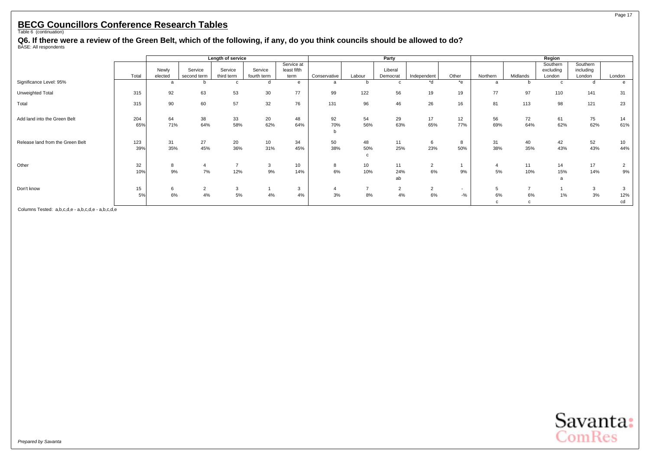**Q6. If there were a review of the Green Belt, which of the following, if any, do you think councils should be allowed to do?** BASE: All respondents

|                                  |            |                  |                        | Length of service     |                        |                                   |                |                      | Party                |                      |                        |              |           | Region                          |                                 |                           |
|----------------------------------|------------|------------------|------------------------|-----------------------|------------------------|-----------------------------------|----------------|----------------------|----------------------|----------------------|------------------------|--------------|-----------|---------------------------------|---------------------------------|---------------------------|
|                                  | Total      | Newly<br>elected | Service<br>second term | Service<br>third term | Service<br>fourth term | Service at<br>least fifth<br>term | Conservative   | Labour               | Liberal<br>Democrat  | Independent          | Other                  | Northern     | Midlands  | Southern<br>excluding<br>London | Southern<br>including<br>London | London                    |
| Significance Level: 95%          |            | a                |                        |                       | d                      | e                                 | a              |                      | C                    | *d                   | *e                     | a            | b         | C                               |                                 | e                         |
| Unweighted Total                 | 315        | 92               | 63                     | 53                    | 30                     | 77                                | 99             | 122                  | 56                   | 19                   | 19                     | 77           | 97        | 110                             | 141                             | 31                        |
| Total                            | 315        | 90               | 60                     | 57                    | 32                     | 76                                | 131            | 96                   | 46                   | 26                   | 16                     | 81           | 113       | 98                              | 121                             | 23                        |
| Add land into the Green Belt     | 204<br>65% | 64<br>71%        | 38<br>64%              | 33<br>58%             | 20<br>62%              | 48<br>64%                         | 92<br>70%<br>b | 54<br>56%            | 29<br>63%            | 17<br>65%            | 12 <sup>2</sup><br>77% | 56<br>69%    | 72<br>64% | 61<br>62%                       | 75<br>62%                       | 14<br>61%                 |
| Release land from the Green Belt | 123<br>39% | 31<br>35%        | 27<br>45%              | 20<br>36%             | 10<br>31%              | 34<br>45%                         | 50<br>38%      | 48<br>50%<br>c       | 11<br>25%            | 6<br>23%             | 8<br>50%               | 31<br>38%    | 40<br>35% | 42<br>43%                       | 52<br>43%                       | 10<br>44%                 |
| Other                            | 32<br>10%  | 8<br>9%          | 7%                     | 12%                   | 3<br>9%                | 10<br>14%                         | 8<br>6%        | 10<br>10%            | 11<br>24%<br>ab      | $\overline{2}$<br>6% | 9%                     | 4<br>5%      | 11<br>10% | 14<br>15%<br>a                  | 17<br>14%                       | $\overline{2}$<br>9%      |
| Don't know                       | 15<br>5%   | 6<br>6%          | $\sim$<br>ے<br>4%      | 3<br>5%               | 4%                     | 3<br>4%                           | 3%             | $\overline{ }$<br>8% | $\overline{2}$<br>4% | $\overline{2}$<br>6% | $\sim$<br>$-$ %        | 5<br>6%<br>c | 6%<br>C   | 1%                              | 3<br>3%                         | $\mathbf{3}$<br>12%<br>cd |

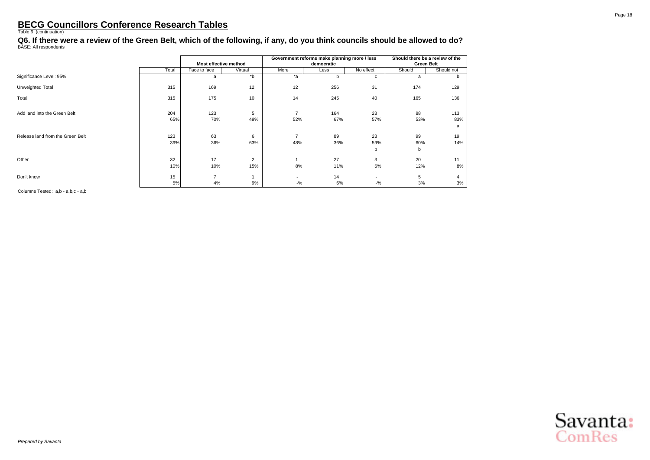**Q6. If there were a review of the Green Belt, which of the following, if any, do you think councils should be allowed to do?** BASE: All respondents

|                                  |            |                       |          |                          | Government reforms make planning more / less |                          | Should there be a review of the |            |
|----------------------------------|------------|-----------------------|----------|--------------------------|----------------------------------------------|--------------------------|---------------------------------|------------|
|                                  |            | Most effective method |          |                          | democratic                                   |                          | <b>Green Belt</b>               |            |
|                                  | Total      | Face to face          | Virtual  | More                     | Less                                         | No effect                | Should                          | Should not |
| Significance Level: 95%          |            | a                     | $b^*$    | $*_{a}$                  | b                                            | C                        | a                               | b          |
| Unweighted Total                 | 315        | 169                   | 12       | 12                       | 256                                          | 31                       | 174                             | 129        |
| Total                            | 315        | 175                   | 10       | 14                       | 245                                          | 40                       | 165                             | 136        |
| Add land into the Green Belt     | 204<br>65% | 123<br>70%            | 5<br>49% | $\overline{7}$<br>52%    | 164<br>67%                                   | 23<br>57%                | 88<br>53%                       | 113<br>83% |
|                                  |            |                       |          |                          |                                              |                          |                                 | a          |
| Release land from the Green Belt | 123<br>39% | 63<br>36%             | 6<br>63% | $\overline{7}$<br>48%    | 89<br>36%                                    | 23<br>59%<br>b           | 99<br>60%<br>b                  | 19<br>14%  |
| Other                            | 32<br>10%  | 17<br>10%             | 2<br>15% | 8%                       | 27<br>11%                                    | 3<br>6%                  | 20<br>12%                       | 11<br>8%   |
| Don't know                       | 15         | $\overline{7}$        |          | $\overline{\phantom{a}}$ | 14                                           | $\overline{\phantom{a}}$ | 5                               |            |
|                                  | 5%         | 4%                    | 9%       | $-$ %                    | 6%                                           | $-$ %                    | 3%                              | 3%         |

Columns Tested: a,b - a,b,c - a,b

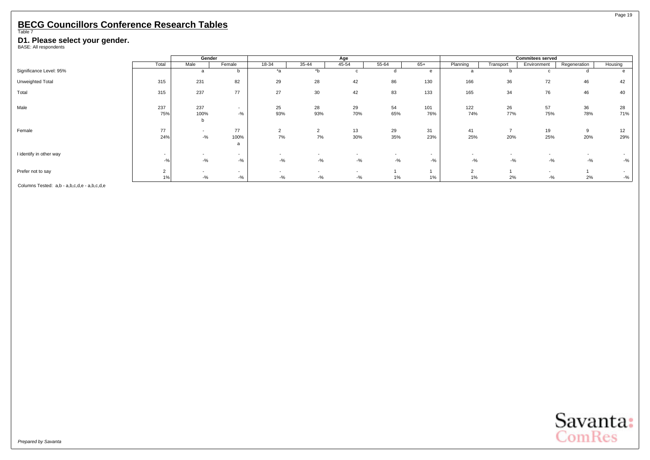<span id="page-20-0"></span>

#### **D1. Please select your gender.**<br>BASE: All respondents

|                         |                          | Gender                   |                          |                          |                          | Age                      |           |                          |            |           | <b>Commitees served</b>  |                          |           |
|-------------------------|--------------------------|--------------------------|--------------------------|--------------------------|--------------------------|--------------------------|-----------|--------------------------|------------|-----------|--------------------------|--------------------------|-----------|
|                         | Total                    | Male                     | Female                   | 18-34                    | 35-44                    | 45-54                    | 55-64     | $65+$                    | Planning   | Transport | Environment              | Regeneration             | Housing   |
| Significance Level: 95% |                          | a                        |                          | *a                       | $\overline{b}$           |                          |           |                          | a          |           | c                        | u                        |           |
| Unweighted Total        | 315                      | 231                      | 82                       | 29                       | 28                       | 42                       | 86        | 130                      | 166        | 36        | 72                       | 46                       | 42        |
| Total                   | 315                      | 237                      | 77                       | 27                       | 30                       | 42                       | 83        | 133                      | 165        | 34        | 76                       | 46                       | 40        |
| Male                    | 237<br>75%               | 237<br>100%              | $\sim$<br>$-9/0$         | 25<br>93%                | 28<br>93%                | 29<br>70%                | 54<br>65% | 101<br>76%               | 122<br>74% | 26<br>77% | 57<br>75%                | 36<br>78%                | 28<br>71% |
|                         |                          |                          |                          |                          |                          |                          |           |                          |            |           |                          |                          |           |
| Female                  | 77                       | $\sim$                   | 77                       | $\sim$<br>∠              | $\overline{2}$           | 13                       | 29        | 31                       | 41         |           | 19                       | 9                        | 12        |
|                         | 24%                      | $-$ %                    | 100%<br>a                | 7%                       | 7%                       | 30%                      | 35%       | 23%                      | 25%        | 20%       | 25%                      | 20%                      | 29%       |
| I identify in other way | $\overline{\phantom{a}}$ | $\overline{\phantom{a}}$ | $\sim$                   | $\overline{\phantom{a}}$ | $\overline{\phantom{a}}$ | $\overline{\phantom{a}}$ | $\sim$    | $\overline{\phantom{a}}$ | $\sim$     |           | $\overline{\phantom{a}}$ | $\overline{\phantom{a}}$ |           |
|                         |                          | $-$ %                    | $-$ %                    | $-$ %                    | $-$ %                    | $-$ %                    | $-$ %     | $-9/6$                   | $-9/6$     | $-$ %     | $-$ %                    | $-$ %                    | $-$ %     |
| Prefer not to say       | $\sim$                   |                          | $\overline{\phantom{a}}$ | $\sim$                   | $\sim$                   |                          |           |                          | $\sim$     |           |                          |                          |           |
|                         | 1%                       | $-$ %                    | $-$ %                    | $-$ %                    | $-$ %                    | $-9/6$                   | $1\%$     | 1%                       | 1%         | 2%        | $-$ %                    | 2%                       | $-$ %     |

Columns Tested: a,b - a,b,c,d,e - a,b,c,d,e

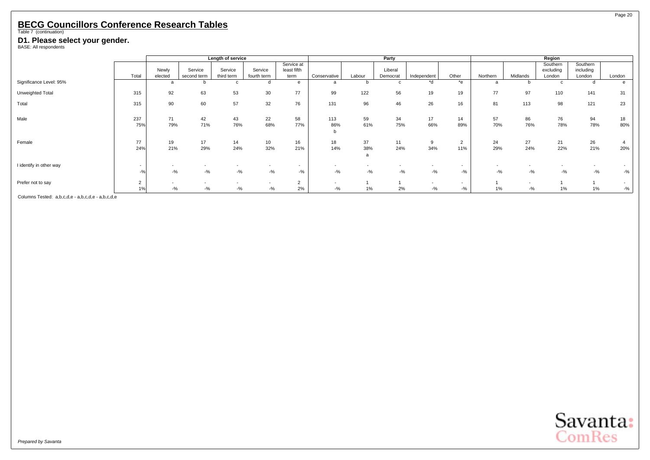#### **D1. Please select your gender.**<br>BASE: All respondents

|                         |                      |                  |                        | Length of service     |                        |                                   |                                   |           | Party               |                                   |                         |           |                 | Region                          |                                 |                 |
|-------------------------|----------------------|------------------|------------------------|-----------------------|------------------------|-----------------------------------|-----------------------------------|-----------|---------------------|-----------------------------------|-------------------------|-----------|-----------------|---------------------------------|---------------------------------|-----------------|
|                         | Total                | Newly<br>elected | Service<br>second term | Service<br>third term | Service<br>fourth term | Service at<br>least fifth<br>term | Conservative                      | Labour    | Liberal<br>Democrat | Independent                       | Other                   | Northern  | Midlands        | Southern<br>excluding<br>London | Southern<br>including<br>London | London          |
| Significance Level: 95% |                      |                  |                        |                       |                        | e                                 | a                                 |           | c                   | *d                                | $*$ e                   |           |                 |                                 |                                 | e               |
| Unweighted Total        | 315                  | 92               | 63                     | 53                    | 30                     | 77                                | 99                                | 122       | 56                  | 19                                | 19                      | 77        | 97              | 110                             | 141                             | 31              |
| Total                   | 315                  | 90               | 60                     | 57                    | 32                     | 76                                | 131                               | 96        | 46                  | 26                                | 16                      | 81        | 113             | 98                              | 121                             | 23              |
| Male                    | 237<br>75%           | 71<br>79%        | 42<br>71%              | 43<br>76%             | 22<br>68%              | 58<br>77%                         | 113<br>86%<br>b                   | 59<br>61% | 34<br>75%           | 17<br>66%                         | 14<br>89%               | 57<br>70% | 86<br>76%       | 76<br>78%                       | 94<br>78%                       | 18<br>80%       |
| Female                  | 77<br>24%            | 19<br>21%        | 17<br>29%              | 14<br>24%             | 10<br>32%              | 16<br>21%                         | 18<br>14%                         | 37<br>38% | 11<br>24%           | 9<br>34%                          | $\overline{2}$<br>11%   | 24<br>29% | 27<br>24%       | 21<br>22%                       | 26<br>21%                       | 4<br>20%        |
| I identify in other way | $\sim$<br>$-$ %      | $-$ %            | $-9/6$                 | $-$ %                 | $-$ %                  | $\sim$<br>$-$ %                   | $-$ %                             | $-$ %     | $-9/0$              | $-$ %                             | $\sim$<br>$-9/6$        | $-$ %     | $-$ %           | $-$ %                           | $-$ %                           | $\sim$<br>$-$ % |
| Prefer not to say       | $\overline{2}$<br>1% | $-$ %            | $-$ %                  | $-9/6$                | $-$ %                  | $\Omega$<br>$\epsilon$<br>2%      | $\overline{\phantom{a}}$<br>$-$ % | 1%        | 2%                  | $\overline{\phantom{a}}$<br>$-$ % | $\overline{a}$<br>$-$ % | $1\%$     | $\sim$<br>$-$ % | 1%                              | 1%                              | $\sim$<br>$-$ % |

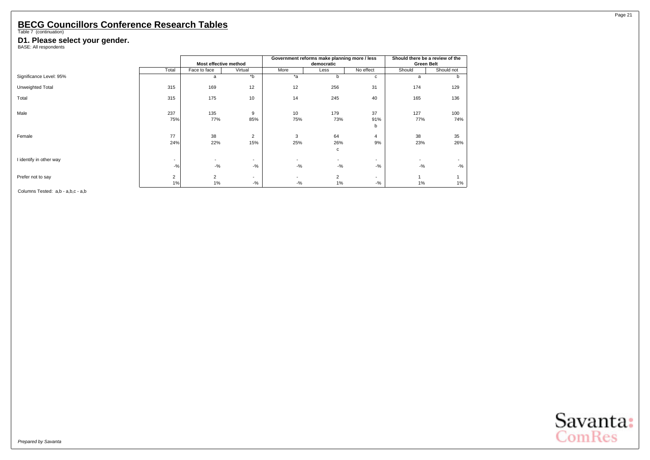#### **D1. Please select your gender.**<br>BASE: All respondents

|                         |                          |                          |                          |                          | Government reforms make planning more / less |                          |                   | Should there be a review of the |
|-------------------------|--------------------------|--------------------------|--------------------------|--------------------------|----------------------------------------------|--------------------------|-------------------|---------------------------------|
|                         |                          | Most effective method    |                          |                          | democratic                                   |                          | <b>Green Belt</b> |                                 |
|                         | Total                    | Face to face             | Virtual                  | More                     | Less                                         | No effect                | Should            | Should not                      |
| Significance Level: 95% |                          | a                        | b                        | $*_{a}$                  | b                                            | c                        | a                 | b                               |
| Unweighted Total        | 315                      | 169                      | 12                       | 12                       | 256                                          | 31                       | 174               | 129                             |
| Total                   | 315                      | 175                      | 10                       | 14                       | 245                                          | 40                       | 165               | 136                             |
| Male                    | 237<br>75%               | 135<br>77%               | 9<br>85%                 | 10<br>75%                | 179<br>73%                                   | 37<br>91%                | 127<br>77%        | 100<br>74%                      |
|                         |                          |                          |                          |                          |                                              | b                        |                   |                                 |
| Female                  | 77                       | 38                       | $\overline{2}$           | 3                        | 64                                           | $\overline{4}$           | 38                | 35                              |
|                         | 24%                      | 22%                      | 15%                      | 25%                      | 26%                                          | 9%                       | 23%               | 26%                             |
|                         |                          |                          |                          |                          | с                                            |                          |                   |                                 |
| I identify in other way | $\overline{\phantom{a}}$ | $\overline{\phantom{a}}$ | $\overline{\phantom{a}}$ | $\overline{\phantom{a}}$ | $\overline{\phantom{a}}$                     | $\overline{\phantom{a}}$ | ٠                 |                                 |
|                         | $-$ %                    | $-$ %                    | $-9/6$                   | $-$ %                    | $-$ %                                        | $-$ %                    | $-$ %             | $-$ %                           |
| Prefer not to say       | $\overline{2}$           | $\overline{2}$           | $\overline{\phantom{a}}$ |                          | $\overline{2}$                               | $\overline{\phantom{a}}$ |                   |                                 |
|                         | 1%                       | $1\%$                    | $-$ %                    | $-$ %                    | 1%                                           | $-$ %                    | 1%                | 1%                              |

Columns Tested: a,b - a,b,c - a,b



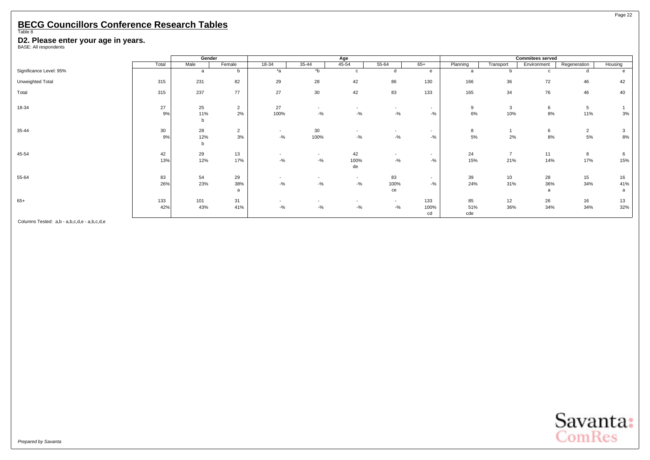#### <span id="page-23-0"></span>**D2. Please enter your age in years.** BASE: All respondents

|                         |                 | Gender   |                |                          |                          | Age                      |                          |                          |          |           | <b>Commitees served</b> |                |          |
|-------------------------|-----------------|----------|----------------|--------------------------|--------------------------|--------------------------|--------------------------|--------------------------|----------|-----------|-------------------------|----------------|----------|
|                         | Total           | Male     | Female         | 18-34                    | 35-44                    | 45-54                    | 55-64                    | $65+$                    | Planning | Transport | Environment             | Regeneration   | Housing  |
| Significance Level: 95% |                 | a        | b              | *a                       | $b^*$                    | $\mathsf{C}$             |                          | e                        | a        | b.        | $\mathsf{C}$            |                | $\theta$ |
| Unweighted Total        | 315             | 231      | 82             | 29                       | 28                       | 42                       | 86                       | 130                      | 166      | 36        | 72                      | 46             | 42       |
| Total                   | 315             | 237      | 77             | 27                       | 30                       | 42                       | 83                       | 133                      | 165      | 34        | 76                      | 46             | 40       |
| 18-34                   | 27              | 25       | $\overline{2}$ | 27                       | $\sim$                   | $\sim$                   | $\sim$                   | $\sim$                   | 9        | 3         | 6                       | 5              |          |
|                         | 9%              | 11%<br>b | 2%             | 100%                     | $-9/6$                   | $-$ %                    | $-$ %                    | $-$ %                    | $6\%$    | 10%       | 8%                      | 11%            | 3%       |
| 35-44                   | 30 <sup>°</sup> | 28       | $\overline{2}$ | $\sim$                   | 30                       | $\overline{\phantom{a}}$ | $\overline{\phantom{0}}$ | $\overline{\phantom{a}}$ | 8        |           | 6                       | $\overline{2}$ | 3        |
|                         | 9%              | 12%<br>b | 3%             | $-9/6$                   | 100%                     | $-$ %                    | $-$ %                    | $-$ %                    | 5%       | 2%        | 8%                      | $5\%$          | 8%       |
| 45-54                   | 42              | 29       | 13             | $\overline{\phantom{a}}$ | $\overline{\phantom{a}}$ | 42                       | $\sim$                   | $\overline{\phantom{a}}$ | 24       |           | 11                      | 8              | 6        |
|                         | 13%             | 12%      | 17%            | $-9/6$                   | $-$ %                    | 100%                     | $-$ %                    | $-$ %                    | 15%      | 21%       | 14%                     | 17%            | 15%      |
|                         |                 |          |                |                          |                          | de                       |                          |                          |          |           |                         |                |          |
| 55-64                   | 83              | 54       | 29             | $\sim$                   | $\overline{\phantom{a}}$ | $\sim$                   | 83                       | $\sim$                   | 39       | 10        | 28                      | 15             | 16       |
|                         | 26%             | 23%      | 38%            | $-$ %                    | $-$ %                    | $-$ %                    | 100%                     | $-$ %                    | 24%      | 31%       | 36%                     | 34%            | 41%      |
|                         |                 |          | a              |                          |                          |                          | ce                       |                          |          |           | $\mathbf{a}$            |                |          |
| $65+$                   | 133             | 101      | 31             |                          |                          | $\overline{\phantom{a}}$ | $\sim$                   | 133                      | 85       | 12        | 26                      | 16             | 13       |
|                         | 42%             | 43%      | 41%            | $-9/6$                   | $-$ %                    | $-$ %                    | $-$ %                    | 100%                     | 51%      | 36%       | 34%                     | 34%            | 32%      |
|                         |                 |          |                |                          |                          |                          |                          | cd                       | cde      |           |                         |                |          |

Columns Tested: a,b - a,b,c,d,e - a,b,c,d,e

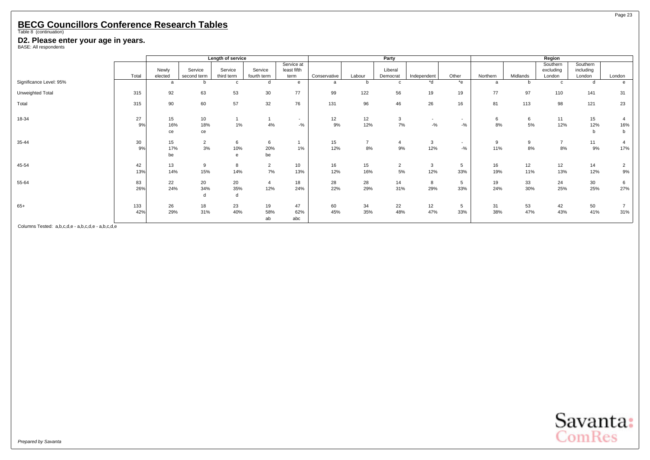#### **D2. Please enter your age in years.** BASE: All respondents

|                         |            |                  |                        | Length of service     |                        |                                   |              |                      | Party                |                                   |                  |           |           | Region                          |                                 |                      |
|-------------------------|------------|------------------|------------------------|-----------------------|------------------------|-----------------------------------|--------------|----------------------|----------------------|-----------------------------------|------------------|-----------|-----------|---------------------------------|---------------------------------|----------------------|
|                         | Total      | Newly<br>elected | Service<br>second term | Service<br>third term | Service<br>fourth term | Service at<br>least fifth<br>term | Conservative | Labour               | Liberal<br>Democrat  | Independent                       | Other            | Northern  | Midlands  | Southern<br>excluding<br>London | Southern<br>including<br>London | London               |
| Significance Level: 95% |            | $\mathbf{a}$     |                        | c                     | d                      | e                                 | a            |                      | $\mathbf{c}$         | *d                                | *e               | a         | b.        | c                               | d                               | e                    |
| Unweighted Total        | 315        | 92               | 63                     | 53                    | 30                     | 77                                | 99           | 122                  | 56                   | 19                                | 19               | 77        | 97        | 110                             | 141                             | 31                   |
| Total                   | 315        | 90               | 60                     | 57                    | 32                     | 76                                | 131          | 96                   | 46                   | 26                                | 16               | 81        | 113       | 98                              | 121                             | 23                   |
| 18-34                   | 27<br>9%   | 15<br>16%<br>ce  | 10<br>18%<br>ce        | $1\%$                 | 4%                     | $\overline{\phantom{a}}$<br>$-$ % | 12<br>9%     | 12<br>12%            | 3<br>7%              | $\overline{\phantom{a}}$<br>$-$ % | $\sim$<br>$-$ %  | 6<br>8%   | 6<br>5%   | 11<br>12%                       | 15<br>12%<br>b                  | 16%<br>b             |
| 35-44                   | 30<br>9%   | 15<br>17%<br>be  | $\overline{2}$<br>3%   | 6<br>10%<br>e         | 6<br>20%<br>be         | $1\%$                             | 15<br>12%    | $\overline{7}$<br>8% | 4<br>9%              | 3<br>12%                          | $\sim$<br>$-9/6$ | 9<br>11%  | 9<br>8%   | $\overline{7}$<br>8%            | 11<br>9%                        | 17%                  |
| 45-54                   | 42<br>13%  | 13<br>14%        | 9<br>15%               | 8<br>14%              | $\overline{2}$<br>7%   | 10<br>13%                         | 16<br>12%    | 15<br>16%            | $\overline{2}$<br>5% | $\mathbf{3}$<br>12%               | 5<br>33%         | 16<br>19% | 12<br>11% | 12<br>13%                       | 14<br>12%                       | $\overline{2}$<br>9% |
| 55-64                   | 83<br>26%  | 22<br>24%        | 20<br>34%              | 20<br>35%             | $\overline{a}$<br>12%  | 18<br>24%                         | 28<br>22%    | 28<br>29%            | 14<br>31%            | 8<br>29%                          | 5<br>33%         | 19<br>24% | 33<br>30% | 24<br>25%                       | 30<br>25%                       | 6<br>27%             |
| $65+$                   | 133<br>42% | 26<br>29%        | 18<br>31%              | 23<br>40%             | 19<br>58%<br>ab        | 47<br>62%<br>abc                  | 60<br>45%    | 34<br>35%            | 22<br>48%            | 12<br>47%                         | 5<br>33%         | 31<br>38% | 53<br>47% | 42<br>43%                       | 50<br>41%                       | 31%                  |

Columns Tested: a,b,c,d,e - a,b,c,d,e - a,b,c,d,e

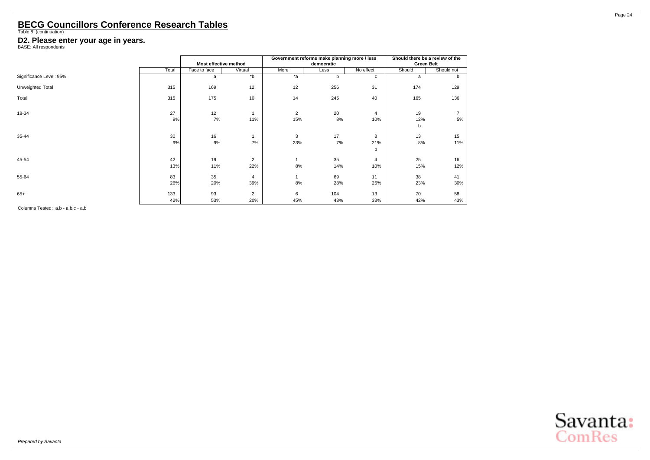#### **D2. Please enter your age in years.** BASE: All respondents

|                         |       |                       | Government reforms make planning more / less | Should there be a review of the |            |                |                   |            |
|-------------------------|-------|-----------------------|----------------------------------------------|---------------------------------|------------|----------------|-------------------|------------|
|                         |       | Most effective method |                                              |                                 | democratic |                | <b>Green Belt</b> |            |
|                         | Total | Face to face          | Virtual                                      | More                            | Less       | No effect      | Should            | Should not |
| Significance Level: 95% |       | a                     | b                                            | $*a$                            | b          | c              | a                 | b          |
| Unweighted Total        | 315   | 169                   | 12                                           | 12                              | 256        | 31             | 174               | 129        |
| Total                   | 315   | 175                   | 10                                           | 14                              | 245        | 40             | 165               | 136        |
| 18-34                   | 27    | 12                    |                                              | 2                               | 20         | $\overline{4}$ | 19                |            |
|                         | 9%    | 7%                    | 11%                                          | 15%                             | 8%         | 10%            | 12%               | 5%         |
|                         |       |                       |                                              |                                 |            |                | b                 |            |
| 35-44                   | 30    | 16                    |                                              | 3                               | 17         | 8              | 13                | 15         |
|                         | 9%    | 9%                    | 7%                                           | 23%                             | 7%         | 21%<br>b       | 8%                | 11%        |
| 45-54                   | 42    | 19                    | $\overline{2}$                               |                                 | 35         | $\overline{4}$ | 25                | 16         |
|                         | 13%   | 11%                   | 22%                                          | 8%                              | 14%        | 10%            | 15%               | 12%        |
| 55-64                   | 83    | 35                    | 4                                            |                                 | 69         | 11             | 38                | 41         |
|                         | 26%   | 20%                   | 39%                                          | 8%                              | 28%        | 26%            | 23%               | 30%        |
| $65+$                   | 133   | 93                    | 2                                            | 6                               | 104        | 13             | 70                | 58         |
|                         | 42%   | 53%                   | 20%                                          | 45%                             | 43%        | 33%            | 42%               | 43%        |

Columns Tested: a,b - a,b,c - a,b



Page 24

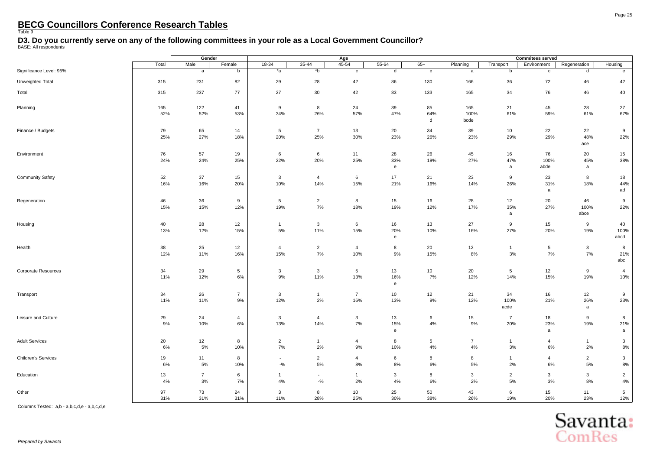<span id="page-26-0"></span>**D3. Do you currently serve on any of the following committees in your role as a Local Government Councillor?** BASE: All respondents

**Gender Age Commitees served** Total | Male | Female | 18-34 | 35-44 | 45-54 | 55-64 | 65+ | Planning | Transport | Environment | Regeneration | Housing Significance Level: 95% a b | \*a \*b c d e a b c d e Unweighted Total 315 231 82 29 28 42 86 130 166 36 72 46 42 Total | 315 | 237 77 | 27 30 42 83 133 | 165 34 76 46 40 Planning | 165 | 122 41 | 9 8 24 39 85 | 165 21 45 28 27 52% 52% 53% 34% 26% 57% 47% 64% 100% 61% 59% 61% 67% d bcde Finance / Budgets | 79 | 65 14 | 5 7 13 20 34 | 39 10 22 22 9 25% 27% 18% 20% 25% 30% 23% 26% 23% 29% 29% 48% 22% ace Environment 76 57 19 6 6 11 28 26 45 16 76 20 15 24% 24% 25% 22% 20% 25% 33% 19% 27% 47% 100% 45% 38% e a abde a and a abde a and a abde Community Safety | 52 | 37 15 | 3 4 6 17 21 | 23 9 23 8 18 16% 16% 20% 10% 14% 15% 21% 16% 14% 26% 31% 18% 44% a ad Regeneration | 46 | 36 9 | 5 2 8 15 16 | 28 12 20 46 9 15% 15% 12% 19% 7% 18% 19% 12% 17% 35% 27% 100% 22% a abce Housing | 40 | 28 12 | 1 3 6 16 13 | 27 9 15 9 40 13% 12% 12% 15% 5% 11% 15% 20% 10% 16% 27% 20% 19% 10% 10% e abcd Health 38 25 12 4 2 4 8 20 12 1 5 3 8 12% 11% 16% 15% 7% 10% 9% 15% 8% 3% 7% 7% 21% abc Corporate Resources | 34 | 29 5 | 3 3 5 13 10 | 20 5 12 9 4 11% 12% 6% 9% 11% 13% 16% 7% 12% 14% 15% 19% 10% e Transport | 34 | 26 7 | 3 1 7 10 12 | 21 34 16 12 9 11% 11% 9% 12% 2% 16% 13% 9% 12% 100% 21% 26% 23% acde a Leisure and Culture | 29 | 24 4 3 4 3 13 6 | 15 7 18 9 8 9% 10% 6% 13% 14% 7% 15% 4% 9% 20% 23% 19% 21% e a a Adult Services 20 12 8 2 1 4 8 5 7 1 4 1 3 6% 5% 10% 7% 2% 9% 10% 4% 4% 3% 6% 2% 8% Children's Services 19 11 8 - 2 4 6 8 8 1 4 2 3 6% 5% 10% -% 5% 8% 8% 6% 5% 2% 6% 5% 8% Education 13 7 6 1 - 1 3 8 3 2 3 3 2 4% 3% 7% 4% -% 2% 4% 6% 2% 5% 3% 8% 4% Other 97 73 24 3 8 10 25 50 43 6 15 11 5 31% 31% 31% 11% 28% 25% 30% 38% 26% 19% 20% 23% 12%

Columns Tested: a,b - a,b,c,d,e - a,b,c,d,e



Page 25

Prepared by Savanta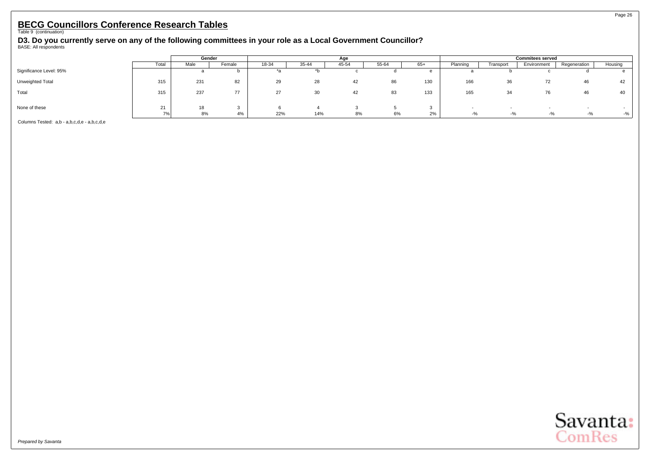**D3. Do you currently serve on any of the following committees in your role as a Local Government Councillor?** BASE: All respondents

|                         |       | Gender |        |       |       | Age   |       |       | <b>Commitees served</b> |           |             |                  |         |  |
|-------------------------|-------|--------|--------|-------|-------|-------|-------|-------|-------------------------|-----------|-------------|------------------|---------|--|
|                         | Total | Male   | Female | 18-34 | 35-44 | 45-54 | 55-64 | $65+$ | Planning                | Transport | Environment | Regeneration     | Housing |  |
| Significance Level: 95% |       |        |        |       |       |       |       |       |                         |           |             |                  |         |  |
| Unweighted Total        | 315   | 231    | 82     | 29    | 28    | 42    | 86    | 130   | 166                     | 36        | 72          | 46               | 42      |  |
| Total                   | 315   | 237    | 77     | 27    | 30    | 42    | 83    | 133   | 165                     | 34        | 76          |                  | 40      |  |
| None of these           | 21    |        |        |       |       |       |       |       |                         |           |             |                  |         |  |
|                         | 7%    | 8%     | 4%     | 22%   | 14%   | 8%    | 6%    | 2%    | -%                      | -%        | $-y_{0}$    | $\sim$<br>$-y_0$ | $-$ %   |  |

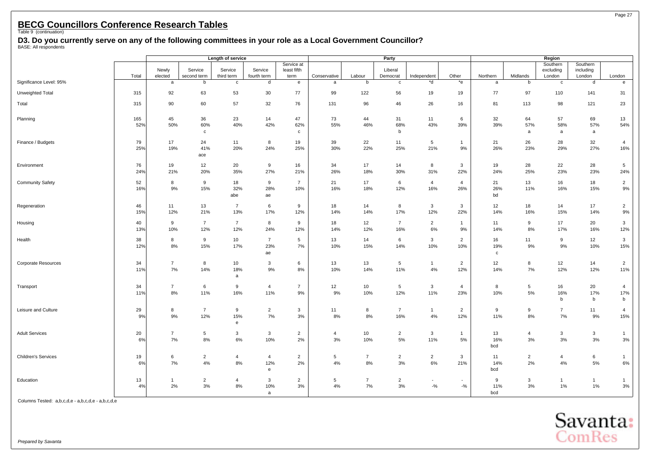**D3. Do you currently serve on any of the following committees in your role as a Local Government Councillor?** BASE: All respondents

|                            |            |                      |                           | Length of service     |                             |                                   |                      |                      | Party                 |                                   |                       |                  | Region                 |                                 |                                 |                                      |
|----------------------------|------------|----------------------|---------------------------|-----------------------|-----------------------------|-----------------------------------|----------------------|----------------------|-----------------------|-----------------------------------|-----------------------|------------------|------------------------|---------------------------------|---------------------------------|--------------------------------------|
|                            | Total      | Newly<br>elected     | Service<br>second term    | Service<br>third term | Service<br>fourth term      | Service at<br>least fifth<br>term | Conservative         | Labour               | Liberal<br>Democrat   | Independent                       | Other                 | Northern         | Midlands               | Southern<br>excluding<br>London | Southern<br>including<br>London | London                               |
| Significance Level: 95%    |            | $\mathsf a$          | b                         | $\mathtt{c}$          | d                           | $\mathbf{e}$                      | a                    | b                    | $\mathbf{c}$          | *d                                | $*$ e                 | a                | b                      | $\mathtt{c}$                    | d                               | $\mathbf{e}$                         |
| Unweighted Total           | 315        | 92                   | 63                        | 53                    | 30                          | 77                                | 99                   | 122                  | 56                    | 19                                | 19                    | 77               | 97                     | 110                             | 141                             | 31                                   |
| Total                      | 315        | 90                   | 60                        | 57                    | 32                          | 76                                | 131                  | 96                   | 46                    | 26                                | 16                    | 81               | 113                    | 98                              | 121                             | 23                                   |
| Planning                   | 165<br>52% | 45<br>50%            | 36<br>60%<br>$\mathtt{C}$ | 23<br>40%             | 14<br>42%                   | 47<br>62%<br>$\mathbf{c}$         | 73<br>55%            | 44<br>46%            | 31<br>68%<br>b        | 11<br>43%                         | 6<br>39%              | 32<br>39%        | 64<br>57%<br>a         | 57<br>58%<br>a                  | 69<br>57%<br>$\mathsf{a}$       | 13<br>54%                            |
| Finance / Budgets          | 79<br>25%  | 17<br>19%            | 24<br>41%<br>ace          | 11<br>20%             | 8<br>24%                    | 19<br>25%                         | 39<br>30%            | 22<br>22%            | 11<br>25%             | 5<br>21%                          | $\mathbf{1}$<br>9%    | 21<br>26%        | 26<br>23%              | 28<br>29%                       | 32<br>27%                       | $\overline{4}$<br>16%                |
| Environment                | 76<br>24%  | 19<br>21%            | 12<br>20%                 | 20<br>35%             | 9<br>27%                    | 16<br>21%                         | 34<br>26%            | 17<br>18%            | 14<br>30%             | 8<br>31%                          | 3<br>22%              | 19<br>24%        | 28<br>25%              | 22<br>23%                       | 28<br>23%                       | 5<br>24%                             |
| <b>Community Safety</b>    | 52<br>16%  | 8<br>9%              | 9<br>15%                  | 18<br>32%<br>abe      | 9<br>28%<br>ae              | $\overline{7}$<br>10%             | 21<br>16%            | 17<br>18%            | 6<br>12%              | $\overline{4}$<br>16%             | $\overline{4}$<br>26% | 21<br>26%<br>bd  | 13<br>11%              | 16<br>16%                       | 18<br>15%                       | $\overline{2}$<br>$9\%$              |
| Regeneration               | 46<br>15%  | 11<br>12%            | 13<br>21%                 | $\overline{7}$<br>13% | 6<br>17%                    | 9<br>12%                          | 18<br>14%            | 14<br>14%            | 8<br>17%              | $\mathbf{3}$<br>12%               | 3<br>22%              | 12<br>14%        | 18<br>16%              | 14<br>15%                       | 17<br>14%                       | $\overline{2}$<br>$9%$               |
| Housing                    | 40<br>13%  | 9<br>10%             | $\overline{7}$<br>12%     | $\overline{7}$<br>12% | 8<br>24%                    | 9<br>12%                          | 18<br>14%            | 12<br>12%            | $\overline{7}$<br>16% | $\overline{2}$<br>$6\%$           | $\mathbf{1}$<br>9%    | 11<br>14%        | 9<br>8%                | 17<br>17%                       | 20<br>16%                       | $\mathbf{3}$<br>12%                  |
| Health                     | 38<br>12%  | 8<br>8%              | 9<br>15%                  | 10<br>17%             | $\overline{7}$<br>23%<br>ae | 5<br>7%                           | 13<br>10%            | 14<br>15%            | 6<br>14%              | $\mathbf{3}$<br>10%               | $\overline{2}$<br>10% | 16<br>19%<br>C   | 11<br>$9\%$            | 9<br>$9\%$                      | 12<br>10%                       | $\mathbf{3}$<br>15%                  |
| Corporate Resources        | 34<br>11%  | $\overline{7}$<br>7% | 8<br>14%                  | 10<br>18%<br>a        | $\mathbf{3}$<br>9%          | 6<br>8%                           | $13\,$<br>10%        | 13<br>14%            | $\,$ 5 $\,$<br>11%    | $\mathbf{1}$<br>4%                | $\overline{2}$<br>12% | 12<br>14%        | 8<br>7%                | 12<br>12%                       | 14<br>12%                       | $\overline{2}$<br>11%                |
| Transport                  | 34<br>11%  | $\overline{7}$<br>8% | 6<br>11%                  | 9<br>16%              | 4<br>11%                    | $\overline{7}$<br>9%              | 12<br>9%             | 10<br>10%            | 5<br>12%              | $\mathbf{3}$<br>11%               | 4<br>23%              | 8<br>10%         | 5<br>$5\%$             | 16<br>16%<br>b                  | 20<br>17%<br>b                  | $\overline{4}$<br>17%<br>$\mathsf b$ |
| Leisure and Culture        | 29<br>9%   | 8<br>9%              | $\overline{7}$<br>12%     | 9<br>15%<br>e         | $\overline{2}$<br>7%        | $\mathbf{3}$<br>3%                | 11<br>8%             | 8<br>8%              | $\overline{7}$<br>16% | $\mathbf{1}$<br>4%                | $\overline{2}$<br>12% | 9<br>11%         | 9<br>$8\%$             | $\overline{7}$<br>$7\%$         | 11<br>$9\%$                     | $\overline{4}$<br>15%                |
| <b>Adult Services</b>      | 20<br>6%   | $\overline{7}$<br>7% | 5<br>8%                   | 3<br>6%               | $\mathbf{3}$<br>10%         | $\overline{2}$<br>2%              | $\overline{4}$<br>3% | 10<br>10%            | $\overline{2}$<br>5%  | $\mathbf{3}$<br>11%               | $\mathbf{1}$<br>5%    | 13<br>16%<br>bcd | $\overline{4}$<br>$3%$ | $\mathbf{3}$<br>3%              | 3<br>3%                         | $\overline{1}$<br>$3%$               |
| <b>Children's Services</b> | 19<br>6%   | 6<br>7%              | $\overline{2}$<br>4%      | $\overline{4}$<br>8%  | 4<br>12%<br>$\mathbf{e}$    | $\overline{2}$<br>2%              | 5<br>4%              | $\overline{7}$<br>8% | $\overline{2}$<br>3%  | $\overline{2}$<br>6%              | 3<br>21%              | 11<br>14%<br>bcd | $\overline{c}$<br>2%   | $\overline{4}$<br>4%            | 6<br>5%                         | $\overline{1}$<br>$6\%$              |
| Education                  | 13<br>4%   | $\mathbf{1}$<br>2%   | $\overline{2}$<br>3%      | $\overline{4}$<br>8%  | 3<br>10%<br>a               | $\overline{2}$<br>3%              | 5<br>4%              | $\overline{7}$<br>7% | $\overline{2}$<br>3%  | $\overline{\phantom{a}}$<br>$-$ % | $-9/6$                | 9<br>11%<br>bcd  | 3<br>3%                | $\mathbf{1}$<br>1%              | $\mathbf{1}$<br>1%              | $\overline{1}$<br>3%                 |

Columns Tested: a,b,c,d,e - a,b,c,d,e - a,b,c,d,e



Page 27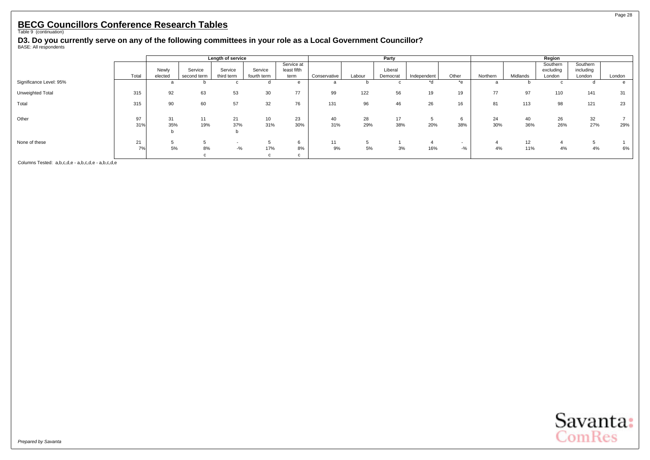**D3. Do you currently serve on any of the following committees in your role as a Local Government Councillor?** BASE: All respondents

|                         |           |                  |                        | Length of service     |                        |                                   |              |           | Party               |             |                 |           | Region    |                                 |                                 |        |  |
|-------------------------|-----------|------------------|------------------------|-----------------------|------------------------|-----------------------------------|--------------|-----------|---------------------|-------------|-----------------|-----------|-----------|---------------------------------|---------------------------------|--------|--|
|                         | Total     | Newly<br>elected | Service<br>second term | Service<br>third term | Service<br>fourth term | Service at<br>least fifth<br>term | Conservative | Labour    | Liberal<br>Democrat | Independent | Other           | Northern  | Midlands  | Southern<br>excluding<br>London | Southern<br>including<br>London | London |  |
| Significance Level: 95% |           | a                |                        |                       | o                      | e                                 | a            | D         |                     | *d          | $*_{e}$         |           |           |                                 |                                 | e      |  |
| Unweighted Total        | 315       | 92               | 63                     | 53                    | 30                     | 77                                | 99           | 122       | 56                  | 19          | 19              | 77        | 97        | 110                             | 141                             | 31     |  |
| Total                   | 315       | 90               | 60                     | 57                    | 32                     | 76                                | 131          | 96        | 46                  | 26          | 16              | 81        | 113       | 98                              | 121                             | 23     |  |
| Other                   | 97<br>31% | 31<br>35%        | 11<br>19%              | 21<br>37%             | 10 <sup>1</sup><br>31% | 23<br>30%                         | 40<br>31%    | 28<br>29% | 17<br>38%           | 5<br>20%    | b<br>38%        | 24<br>30% | 40<br>36% | 26<br>26%                       | 32<br>27%                       | 29%    |  |
| None of these           | 21<br>7%  | 5%               | 8%                     | $-$ %                 | 17%                    | 6<br>8%<br>c                      | 11<br>9%     | 5%        | 3%                  | 4<br>16%    | $\sim$<br>$-$ % | 4%        | 12<br>11% | 4%                              | 4%                              | 6%     |  |

Columns Tested: a,b,c,d,e - a,b,c,d,e - a,b,c,d,e



Page 28

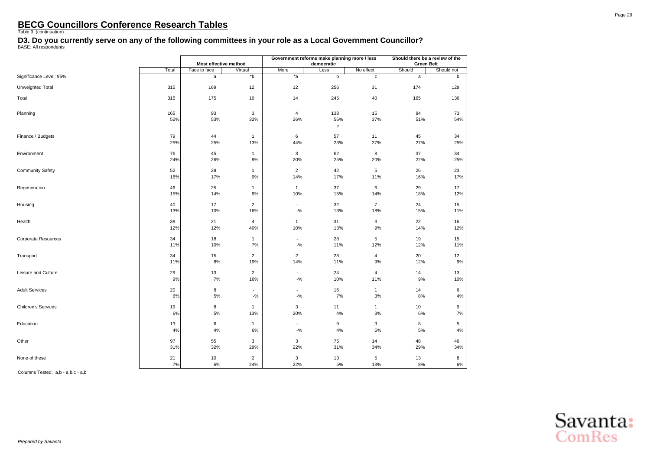**D3. Do you currently serve on any of the following committees in your role as a Local Government Councillor?** BASE: All respondents

|                         |           |                       |                                    |                                   | Government reforms make planning more / less |                    | Should there be a review of the |            |  |  |
|-------------------------|-----------|-----------------------|------------------------------------|-----------------------------------|----------------------------------------------|--------------------|---------------------------------|------------|--|--|
|                         |           | Most effective method |                                    |                                   | democratic                                   |                    | <b>Green Belt</b>               |            |  |  |
|                         | Total     | Face to face          | Virtual                            | More                              | Less                                         | No effect          | Should                          | Should not |  |  |
| Significance Level: 95% |           | a                     | $\overline{b}$                     | $*_{a}$                           | $\mathbf b$                                  | c                  | a                               | b          |  |  |
| Unweighted Total        | 315       | 169                   | 12                                 | 12                                | 256                                          | 31                 | 174                             | 129        |  |  |
| Total                   | 315       | 175                   | 10                                 | 14                                | 245                                          | 40                 | 165                             | 136        |  |  |
| Planning                | 165       | 93                    | 3                                  | $\overline{4}$                    | 138                                          | 15                 | 84                              | 73         |  |  |
|                         | 52%       | 53%                   | 32%                                | 26%                               | 56%<br>$\mathbf c$                           | 37%                | 51%                             | 54%        |  |  |
| Finance / Budgets       | 79        | 44                    | $\mathbf{1}$                       | 6                                 | 57                                           | 11                 | 45                              | 34         |  |  |
|                         | 25%       | 25%                   | 13%                                | 44%                               | 23%                                          | 27%                | 27%                             | 25%        |  |  |
| Environment             | 76<br>24% | 45<br>26%             | $\mathbf{1}$<br>9%                 | 3<br>20%                          | 62<br>25%                                    | 8<br>20%           | 37<br>22%                       | 34<br>25%  |  |  |
| <b>Community Safety</b> | 52        | 29                    | $\mathbf{1}$                       | $\overline{2}$                    | 42                                           | 5                  | 26                              | 23         |  |  |
|                         | 16%       | 17%                   | 9%                                 | 14%                               | 17%                                          | 11%                | 16%                             | 17%        |  |  |
| Regeneration            | 46<br>15% | 25<br>14%             | $\mathbf{1}$<br>9%                 | $\mathbf{1}$<br>10%               | 37<br>15%                                    | 6<br>14%           | 29<br>18%                       | 17<br>12%  |  |  |
| Housing                 | 40        | 17                    | $\overline{2}$                     | $\blacksquare$                    | 32                                           | $\overline{7}$     | 24                              | 15         |  |  |
|                         | 13%       | 10%                   | 16%                                | $-9/6$                            | 13%                                          | 18%                | 15%                             | 11%        |  |  |
| Health                  | 38<br>12% | 21<br>12%             | $\overline{4}$<br>40%              | $\mathbf{1}$<br>10%               | 31<br>13%                                    | 3<br>9%            | 22<br>14%                       | 16<br>12%  |  |  |
| Corporate Resources     | 34        | 18                    | $\mathbf{1}$                       | $\blacksquare$                    | 28                                           | 5                  | 19                              | 15         |  |  |
|                         | 11%       | 10%                   | 7%                                 | $-9/6$                            | 11%                                          | 12%                | 12%                             | 11%        |  |  |
| Transport               | 34        | 15                    | $\overline{2}$                     | $\overline{2}$                    | 28                                           | 4                  | 20                              | 12         |  |  |
|                         | 11%       | 8%                    | 19%                                | 14%                               | 11%                                          | 9%                 | 12%                             | 9%         |  |  |
| Leisure and Culture     | 29<br>9%  | 13<br>7%              | $\overline{2}$<br>16%              | $\overline{\phantom{a}}$<br>$-$ % | 24<br>10%                                    | 4<br>11%           | 14<br>9%                        | 13<br>10%  |  |  |
|                         |           |                       |                                    |                                   |                                              |                    |                                 |            |  |  |
| <b>Adult Services</b>   | 20<br>6%  | 8<br>5%               | $\overline{\phantom{a}}$<br>$-9/6$ | $\overline{\phantom{a}}$<br>$-$ % | 16<br>7%                                     | $\mathbf{1}$<br>3% | 14<br>8%                        | 6<br>4%    |  |  |
| Children's Services     | 19        | 8                     | $\mathbf{1}$                       | 3                                 | 11                                           | 1                  | 10                              | 9          |  |  |
|                         | 6%        | 5%                    | 13%                                | 20%                               | 4%                                           | 3%                 | 6%                              | 7%         |  |  |
| Education               | 13        | 6                     | $\mathbf{1}$                       | $\overline{\phantom{a}}$          | 9                                            | 3                  | 8                               | 5          |  |  |
|                         | 4%        | $4\%$                 | 6%                                 | $-9/6$                            | 4%                                           | 6%                 | 5%                              | $4\%$      |  |  |
| Other                   | 97<br>31% | 55<br>32%             | 3<br>29%                           | $\ensuremath{\mathsf{3}}$<br>22%  | 75<br>31%                                    | 14<br>34%          | 48<br>29%                       | 46<br>34%  |  |  |
| None of these           | 21<br>7%  | 10<br>6%              | $\overline{2}$<br>24%              | 3<br>22%                          | 13<br>5%                                     | 5<br>13%           | 13<br>8%                        | 8<br>$6\%$ |  |  |

Columns Tested: a,b - a,b,c - a,b

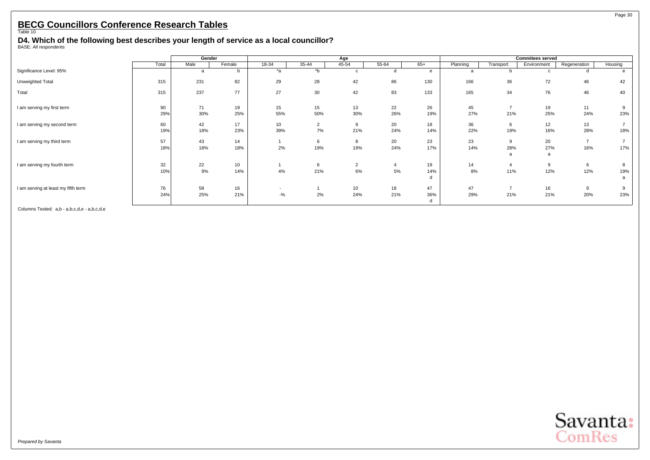<span id="page-31-0"></span>**D4. Which of the following best describes your length of service as a local councillor?** BASE: All respondents

|                                     |           | Gender    |           |           |                      | Age                    |           |                |           |                                 | <b>Commitees served</b> |                       |          |
|-------------------------------------|-----------|-----------|-----------|-----------|----------------------|------------------------|-----------|----------------|-----------|---------------------------------|-------------------------|-----------------------|----------|
|                                     | Total     | Male      | Female    | 18-34     | 35-44                | 45-54                  | 55-64     | $65+$          | Planning  | Transport                       | Environment             | Regeneration          | Housing  |
| Significance Level: 95%             |           | a         |           | *a        | $b^*$                | $\sim$                 |           | $\epsilon$     | a         |                                 | C.                      | d                     |          |
| Unweighted Total                    | 315       | 231       | 82        | 29        | 28                   | 42                     | 86        | 130            | 166       | 36                              | 72                      | 46                    | 42       |
| Total                               | 315       | 237       | 77        | 27        | 30                   | 42                     | 83        | 133            | 165       | 34                              | 76                      | 46                    | 40       |
| I am serving my first term          | 90<br>29% | 71<br>30% | 19<br>25% | 15<br>55% | 15<br>50%            | 13<br>30%              | 22<br>26% | 26<br>19%      | 45<br>27% | $\overline{\phantom{a}}$<br>21% | 19<br>25%               | 11<br>24%             | 9<br>23% |
| I am serving my second term         | 60<br>19% | 42<br>18% | 17<br>23% | 10<br>39% | $\overline{2}$<br>7% | 9<br>21%               | 20<br>24% | 18<br>14%      | 36<br>22% | O<br>19%                        | 12<br>16%               | 13<br>28%             | 18%      |
| I am serving my third term          | 57<br>18% | 43<br>18% | 14<br>18% | 2%        | 6<br>19%             | 8<br>19%               | 20<br>24% | 23<br>17%      | 23<br>14% | 28%<br>a                        | 20<br>27%<br>a          | $\overline{7}$<br>16% | 17%      |
| I am serving my fourth term         | 32<br>10% | 22<br>9%  | 10<br>14% | 4%        | 6<br>21%             | $\overline{2}$<br>6%   | $5\%$     | 19<br>14%<br>d | 14<br>8%  | 11%                             | 9<br>12%                | 6<br>12%              | 19%<br>a |
| I am serving at least my fifth term | 76<br>24% | 58<br>25% | 16<br>21% | $-$ %     | 2%                   | 10 <sup>1</sup><br>24% | 18<br>21% | 47<br>36%<br>d | 47<br>29% | 21%                             | 16<br>21%               | 9<br>20%              | 9<br>23% |



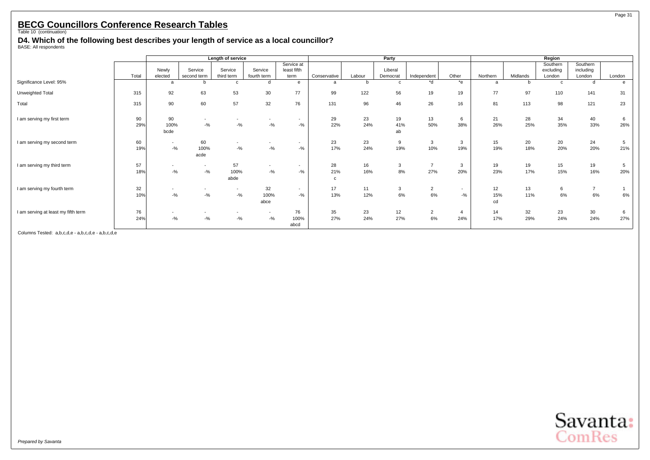**D4. Which of the following best describes your length of service as a local councillor?** BASE: All respondents

|                                     |           |                                    |                                   | Length of service                  |                                    |                                    |                           |           | Party               |                       |                       |                 |           | Region                          |                                 |                        |
|-------------------------------------|-----------|------------------------------------|-----------------------------------|------------------------------------|------------------------------------|------------------------------------|---------------------------|-----------|---------------------|-----------------------|-----------------------|-----------------|-----------|---------------------------------|---------------------------------|------------------------|
|                                     | Total     | Newly<br>elected                   | Service<br>second term            | Service<br>third term              | Service<br>fourth term             | Service at<br>least fifth<br>term  | Conservative              | Labour    | Liberal<br>Democrat | Independent           | Other                 | Northern        | Midlands  | Southern<br>excluding<br>London | Southern<br>including<br>London | London                 |
| Significance Level: 95%             |           | a                                  |                                   | c                                  | d                                  | $\mathbf{e}$                       | a                         | b         | c                   | *d                    | $*$ e                 | a               | b         | $\mathbf c$                     | d                               | e                      |
| Unweighted Total                    | 315       | 92                                 | 63                                | 53                                 | 30                                 | 77                                 | 99                        | 122       | 56                  | 19                    | 19                    | 77              | 97        | 110                             | 141                             | 31                     |
| Total                               | 315       | 90                                 | 60                                | 57                                 | 32                                 | 76                                 | 131                       | 96        | 46                  | 26                    | 16                    | 81              | 113       | 98                              | 121                             | 23                     |
| I am serving my first term          | 90<br>29% | 90<br>100%<br>bcde                 | $-$ %                             | $-$ %                              | $-$ %                              | $\overline{\phantom{a}}$<br>$-$ %  | 29<br>22%                 | 23<br>24% | 19<br>41%<br>ab     | 13<br>50%             | 6<br>38%              | 21<br>26%       | 28<br>25% | 34<br>35%                       | 40<br>33%                       | 6<br>26%               |
| I am serving my second term         | 60<br>19% | $\overline{\phantom{0}}$<br>$-9/6$ | 60<br>100%<br>acde                | $\overline{\phantom{a}}$<br>$-9/6$ | $-9/6$                             | $\overline{\phantom{0}}$<br>$-9/6$ | 23<br>17%                 | 23<br>24% | 9<br>19%            | 3<br>10%              | 3<br>19%              | 15<br>19%       | 20<br>18% | 20<br>20%                       | 24<br>20%                       | $5\overline{5}$<br>21% |
| I am serving my third term          | 57<br>18% | $\overline{\phantom{a}}$<br>$-9/6$ | $\overline{\phantom{a}}$<br>$-$ % | 57<br>100%<br>abde                 | $\overline{\phantom{a}}$<br>$-9/6$ | $\overline{\phantom{0}}$<br>$-$ %  | 28<br>21%<br>$\mathbf{c}$ | 16<br>16% | 3<br>8%             | $\overline{7}$<br>27% | 3<br>20%              | 19<br>23%       | 19<br>17% | 15<br>15%                       | 19<br>16%                       | $5^{\circ}$<br>20%     |
| I am serving my fourth term         | 32<br>10% | $-9/6$                             | $-$ %                             | $\overline{\phantom{a}}$<br>$-9/6$ | 32<br>100%<br>abce                 | $\overline{\phantom{0}}$<br>$-9/6$ | 17<br>13%                 | 11<br>12% | 3<br>6%             | $\overline{2}$<br>6%  | $\sim$<br>$-$ %       | 12<br>15%<br>cd | 13<br>11% | 6<br>6%                         | $\overline{7}$<br>6%            | 6%                     |
| I am serving at least my fifth term | 76<br>24% | $-9/6$                             | $-$ %                             | $-$ %                              | $\overline{\phantom{a}}$<br>$-9/6$ | 76<br>100%<br>abcd                 | 35<br>27%                 | 23<br>24% | 12<br>27%           | $\overline{2}$<br>6%  | $\overline{4}$<br>24% | 14<br>17%       | 32<br>29% | 23<br>24%                       | 30<br>24%                       | 6<br>27%               |

Columns Tested: a,b,c,d,e - a,b,c,d,e - a,b,c,d,e